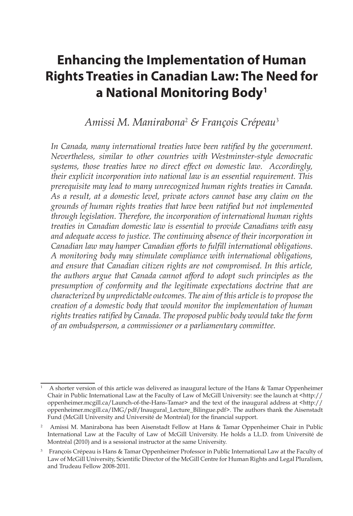# **Enhancing the Implementation of Human Rights Treaties in Canadian Law: The Need for a National Monitoring Body1**

*Amissi M. Manirabona*<sup>2</sup>  *& François Crépeau*<sup>3</sup>

*In Canada, many international treaties have been ratified by the government. Nevertheless, similar to other countries with Westminster-style democratic systems, those treaties have no direct effect on domestic law. Accordingly, their explicit incorporation into national law is an essential requirement. This prerequisite may lead to many unrecognized human rights treaties in Canada. As a result, at a domestic level, private actors cannot base any claim on the grounds of human rights treaties that have been ratified but not implemented through legislation. Therefore, the incorporation of international human rights treaties in Canadian domestic law is essential to provide Canadians with easy and adequate access to justice. The continuing absence of their incorporation in Canadian law may hamper Canadian efforts to fulfill international obligations. A monitoring body may stimulate compliance with international obligations, and ensure that Canadian citizen rights are not compromised. In this article, the authors argue that Canada cannot afford to adopt such principles as the presumption of conformity and the legitimate expectations doctrine that are characterized by unpredictable outcomes. The aim of this article is to propose the creation of a domestic body that would monitor the implementation of human rights treaties ratified by Canada. The proposed public body would take the form of an ombudsperson, a commissioner or a parliamentary committee.* 

<sup>1</sup> A shorter version of this article was delivered as inaugural lecture of the Hans & Tamar Oppenheimer Chair in Public International Law at the Faculty of Law of McGill University: see the launch at <http:// oppenheimer.mcgill.ca/Launch-of-the-Hans-Tamar> and the text of the inaugural address at <http:// oppenheimer.mcgill.ca/IMG/pdf/Inaugural\_Lecture\_Bilingue.pdf>. The authors thank the Aisenstadt Fund (McGill University and Université de Montréal) for the financial support.

<sup>2</sup> Amissi M. Manirabona has been Aisenstadt Fellow at Hans & Tamar Oppenheimer Chair in Public International Law at the Faculty of Law of McGill University. He holds a LL.D. from Université de Montréal (2010) and is a sessional instructor at the same University.

<sup>&</sup>lt;sup>3</sup> François Crépeau is Hans & Tamar Oppenheimer Professor in Public International Law at the Faculty of Law of McGill University, Scientific Director of the McGill Centre for Human Rights and Legal Pluralism, and Trudeau Fellow 2008-2011.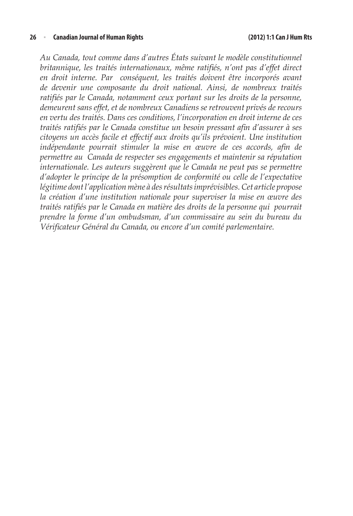*Au Canada, tout comme dans d'autres États suivant le modèle constitutionnel britannique, les traités internationaux, même ratifiés, n'ont pas d'effet direct en droit interne. Par conséquent, les traités doivent être incorporés avant de devenir une composante du droit national. Ainsi, de nombreux traités ratifiés par le Canada, notamment ceux portant sur les droits de la personne, demeurent sans effet, et de nombreux Canadiens se retrouvent privés de recours en vertu des traités. Dans ces conditions, l'incorporation en droit interne de ces traités ratifiés par le Canada constitue un besoin pressant afin d'assurer à ses citoyens un accès facile et effectif aux droits qu'ils prévoient. Une institution indépendante pourrait stimuler la mise en œuvre de ces accords, afin de permettre au Canada de respecter ses engagements et maintenir sa réputation internationale. Les auteurs suggèrent que le Canada ne peut pas se permettre d'adopter le principe de la présomption de conformité ou celle de l'expectative légitime dont l'application mène à des résultats imprévisibles. Cet article propose la création d'une institution nationale pour superviser la mise en œuvre des traités ratifiés par le Canada en matière des droits de la personne qui pourrait prendre la forme d'un ombudsman, d'un commissaire au sein du bureau du Vérificateur Général du Canada, ou encore d'un comité parlementaire.*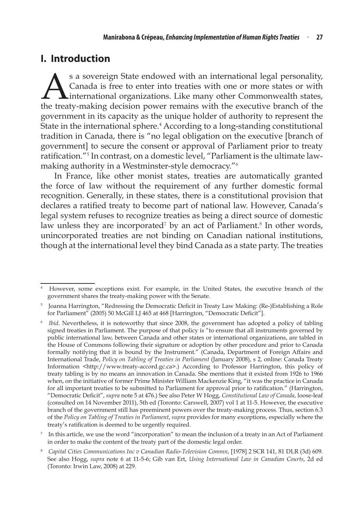# **I. Introduction**

s a sovereign State endowed with an international legal personality,<br>Canada is free to enter into treaties with one or more states or with<br>international organizations. Like many other Commonwealth states,<br>the treaty-making Canada is free to enter into treaties with one or more states or with **L**international organizations. Like many other Commonwealth states, the treaty-making decision power remains with the executive branch of the government in its capacity as the unique holder of authority to represent the State in the international sphere.<sup>4</sup> According to a long-standing constitutional tradition in Canada, there is "no legal obligation on the executive [branch of government] to secure the consent or approval of Parliament prior to treaty ratification."<sup>5</sup> In contrast, on a domestic level, "Parliament is the ultimate lawmaking authority in a Westminster-style democracy."<sup>6</sup>

In France, like other monist states, treaties are automatically granted the force of law without the requirement of any further domestic formal recognition. Generally, in these states, there is a constitutional provision that declares a ratified treaty to become part of national law. However, Canada's legal system refuses to recognize treaties as being a direct source of domestic law unless they are incorporated<sup>7</sup> by an act of Parliament.<sup>8</sup> In other words, unincorporated treaties are not binding on Canadian national institutions, though at the international level they bind Canada as a state party. The treaties

<sup>4</sup> However, some exceptions exist. For example, in the United States, the executive branch of the government shares the treaty-making power with the Senate.

<sup>5</sup> Joanna Harrington, "Redressing the Democratic Deficit in Treaty Law Making: (Re-)Establishing a Role for Parliament" (2005) 50 McGill LJ 465 at 468 [Harrington, "Democratic Deficit"].

<sup>6</sup> *Ibid*. Nevertheless, it is noteworthy that since 2008, the government has adopted a policy of tabling signed treaties in Parliament. The purpose of that policy is "to ensure that all instruments governed by public international law, between Canada and other states or international organizations, are tabled in the House of Commons following their signature or adoption by other procedure and prior to Canada formally notifying that it is bound by the Instrument." (Canada, Department of Foreign Affairs and International Trade, *Policy on Tabling of Treaties in Parliament* (January 2008), s 2, online: Canada Treaty Information <http://www.treaty-accord.gc.ca>.) According to Professor Harrington, this policy of treaty tabling is by no means an innovation in Canada. She mentions that it existed from 1926 to 1966 when, on the initiative of former Prime Minister William Mackenzie King, "it was the practice in Canada for all important treaties to be submitted to Parliament for approval prior to ratification." (Harrington, "Democratic Deficit", *supra* note 5 at 476.) See also Peter W Hogg, *Constitutional Law of Canada*, loose-leaf (consulted on 14 November 2011), 5th ed (Toronto: Carswell, 2007) vol 1 at 11-5. However, the executive branch of the government still has preeminent powers over the treaty-making process. Thus, section 6.3 of the *Policy on Tabling of Treaties in Parliament*, *supra* provides for many exceptions, especially where the treaty's ratification is deemed to be urgently required.

In this article, we use the word "incorporation" to mean the inclusion of a treaty in an Act of Parliament in order to make the content of the treaty part of the domestic legal order.

<sup>8</sup> *Capital Cities Communications Inc v Canadian Radio-Television Commn*, [1978] 2 SCR 141, 81 DLR (3d) 609. See also Hogg, *supra* note 6 at 11-5-6; Gib van Ert, *Using International Law in Canadian Courts*, 2d ed (Toronto: Irwin Law, 2008) at 229.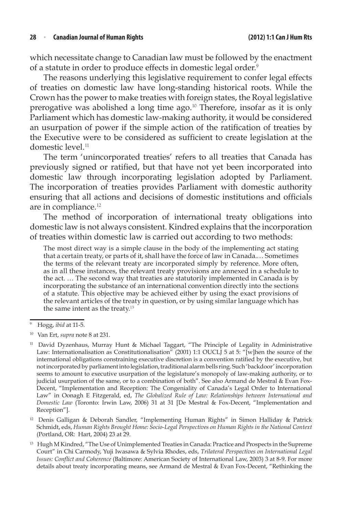which necessitate change to Canadian law must be followed by the enactment of a statute in order to produce effects in domestic legal order.<sup>9</sup>

The reasons underlying this legislative requirement to confer legal effects of treaties on domestic law have long-standing historical roots. While the Crown has the power to make treaties with foreign states, the Royal legislative prerogative was abolished a long time ago.<sup>10</sup> Therefore, insofar as it is only Parliament which has domestic law-making authority, it would be considered an usurpation of power if the simple action of the ratification of treaties by the Executive were to be considered as sufficient to create legislation at the domestic level.<sup>11</sup>

The term 'unincorporated treaties' refers to all treaties that Canada has previously signed or ratified, but that have not yet been incorporated into domestic law through incorporating legislation adopted by Parliament. The incorporation of treaties provides Parliament with domestic authority ensuring that all actions and decisions of domestic institutions and officials are in compliance.<sup>12</sup>

The method of incorporation of international treaty obligations into domestic law is not always consistent. Kindred explains that the incorporation of treaties within domestic law is carried out according to two methods:

The most direct way is a simple clause in the body of the implementing act stating that a certain treaty, or parts of it, shall have the force of law in Canada.… Sometimes the terms of the relevant treaty are incorporated simply by reference. More often, as in all these instances, the relevant treaty provisions are annexed in a schedule to the act. … The second way that treaties are statutorily implemented in Canada is by incorporating the substance of an international convention directly into the sections of a statute. This objective may be achieved either by using the exact provisions of the relevant articles of the treaty in question, or by using similar language which has the same intent as the treaty.<sup>13</sup>

<sup>12</sup> Denis Galligan & Deborah Sandler, "Implementing Human Rights" in Simon Halliday & Patrick Schmidt, eds, *Human Rights Brought Home: Socio-Legal Perspectives on Human Rights in the National Context* (Portland, OR: Hart, 2004) 23 at 29.

<sup>9</sup> Hogg, *ibid* at 11-5.

<sup>10</sup> Van Ert, *supra* note 8 at 231.

<sup>&</sup>lt;sup>11</sup> David Dyzenhaus, Murray Hunt & Michael Taggart, "The Principle of Legality in Administrative Law: Internationalisation as Constitutionalisation" (2001) 1:1 OUCLJ 5 at 5: "[w]hen the source of the international obligations constraining executive discretion is a convention ratified by the executive, but not incorporated by parliament into legislation, traditional alarm bells ring. Such 'backdoor' incorporation seems to amount to executive usurpation of the legislature's monopoly of law-making authority, or to judicial usurpation of the same, or to a combination of both". See also Armand de Mestral & Evan Fox-Decent, "Implementation and Reception: The Congeniality of Canada's Legal Order to International Law" in Oonagh E Fitzgerald, ed, *The Globalized Rule of Law: Relationships between International and Domestic Law* (Toronto: Irwin Law, 2006) 31 at 31 [De Mestral & Fox-Decent, "Implementation and Reception"].

<sup>13</sup> Hugh M Kindred, "The Use of Unimplemented Treaties in Canada: Practice and Prospects in the Supreme Court" in Chi Carmody, Yuji Iwasawa & Sylvia Rhodes, eds, *Trilateral Perspectives on International Legal Issues: Conflict and Coherence* (Baltimore: American Society of International Law, 2003) 3 at 8-9. For more details about treaty incorporating means, see Armand de Mestral & Evan Fox-Decent, "Rethinking the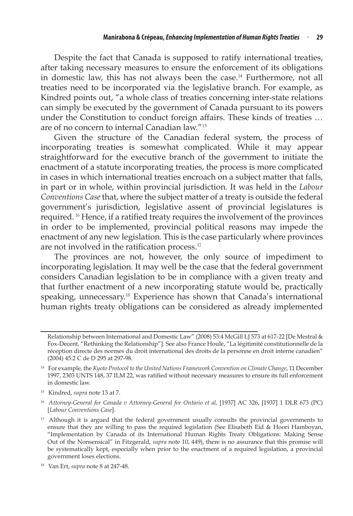Despite the fact that Canada is supposed to ratify international treaties, after taking necessary measures to ensure the enforcement of its obligations in domestic law, this has not always been the case.<sup>14</sup> Furthermore, not all treaties need to be incorporated via the legislative branch. For example, as Kindred points out, "a whole class of treaties concerning inter-state relations can simply be executed by the government of Canada pursuant to its powers under the Constitution to conduct foreign affairs. These kinds of treaties … are of no concern to internal Canadian law."<sup>15</sup>

Given the structure of the Canadian federal system, the process of incorporating treaties is somewhat complicated. While it may appear straightforward for the executive branch of the government to initiate the enactment of a statute incorporating treaties, the process is more complicated in cases in which international treaties encroach on a subject matter that falls, in part or in whole, within provincial jurisdiction. It was held in the *Labour Conventions Case*that, where the subject matter of a treaty is outside the federal government's jurisdiction, legislative assent of provincial legislatures is required. <sup>16</sup> Hence, if a ratified treaty requires the involvement of the provinces in order to be implemented, provincial political reasons may impede the enactment of any new legislation. This is the case particularly where provinces are not involved in the ratification process. $17$ 

The provinces are not, however, the only source of impediment to incorporating legislation. It may well be the case that the federal government considers Canadian legislation to be in compliance with a given treaty and that further enactment of a new incorporating statute would be, practically speaking, unnecessary.<sup>18</sup> Experience has shown that Canada's international human rights treaty obligations can be considered as already implemented

Relationship between International and Domestic Law" (2008) 53:4 McGill LJ 573 at 617-22 [De Mestral & Fox-Decent, "Rethinking the Relationship"]. See also France Houle, "La légitimité constitutionnelle de la réception directe des normes du droit international des droits de la personne en droit interne canadien" (2004) 45:2 C de D 295 at 297-98.

<sup>14</sup> For example, the *Kyoto Protocol to the United Nations Framework Convention on Climate Change*, 11 December 1997, 2303 UNTS 148, 37 ILM 22, was ratified without necessary measures to ensure its full enforcement in domestic law.

<sup>15</sup> Kindred, *supra* note 13 at 7.

<sup>16</sup> *Attorney-General for Canada v Attorney-General for Ontario et al,* [1937] AC 326, [1937] 1 DLR 673 (PC) [*Labour Conventions Case*].

<sup>&</sup>lt;sup>17</sup> Although it is argued that the federal government usually consults the provincial governments to ensure that they are willing to pass the required legislation (See Elisabeth Eid & Hoori Hamboyan, "Implementation by Canada of its International Human Rights Treaty Obligations: Making Sense Out of the Nonsensical" in Fitzgerald, *supra* note 10, 449), there is no assurance that this promise will be systematically kept, especially when prior to the enactment of a required legislation, a provincial government loses elections.

<sup>18</sup> Van Ert, *supra* note 8 at 247-48.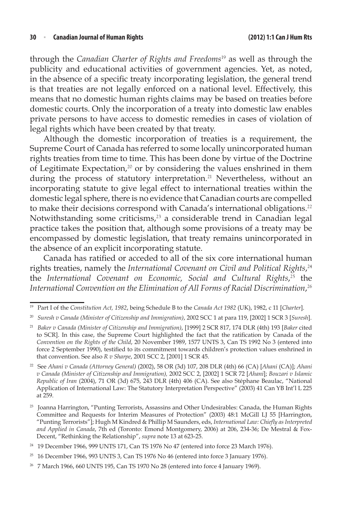through the *Canadian Charter of Rights and Freedoms*<sup>19</sup> as well as through the publicity and educational activities of government agencies. Yet, as noted, in the absence of a specific treaty incorporating legislation, the general trend is that treaties are not legally enforced on a national level. Effectively, this means that no domestic human rights claims may be based on treaties before domestic courts. Only the incorporation of a treaty into domestic law enables private persons to have access to domestic remedies in cases of violation of legal rights which have been created by that treaty.

Although the domestic incorporation of treaties is a requirement, the Supreme Court of Canada has referred to some locally unincorporated human rights treaties from time to time. This has been done by virtue of the Doctrine of Legitimate Expectation,<sup>20</sup> or by considering the values enshrined in them during the process of statutory interpretation.<sup>21</sup> Nevertheless, without an incorporating statute to give legal effect to international treaties within the domestic legal sphere, there is no evidence that Canadian courts are compelled to make their decisions correspond with Canada's international obligations.<sup>22</sup> Notwithstanding some criticisms,<sup>23</sup> a considerable trend in Canadian legal practice takes the position that, although some provisions of a treaty may be encompassed by domestic legislation, that treaty remains unincorporated in the absence of an explicit incorporating statute.

Canada has ratified or acceded to all of the six core international human rights treaties, namely the *International Covenant on Civil and Political Rights*, 24 the *International Covenant on Economic, Social and Cultural Rights*, <sup>25</sup> the *International Convention on the Elimination of All Forms of Racial Discrimination*, 26

<sup>19</sup> Part I of the *Constitution Act, 1982*, being Schedule B to the *Canada Act 1982* (UK), 1982, c 11 [*Charter*].

<sup>20</sup> *Suresh v Canada (Minister of Citizenship and Immigration)*, 2002 SCC 1 at para 119, [2002] 1 SCR 3 [*Suresh*].

<sup>21</sup> *Baker v Canada (Minister of Citizenship and Immigration)*, [1999] 2 SCR 817, 174 DLR (4th) 193 [*Baker* cited to SCR]. In this case, the Supreme Court highlighted the fact that the ratification by Canada of the *Convention on the Rights of the Child*, 20 November 1989, 1577 UNTS 3, Can TS 1992 No 3 (entered into force 2 September 1990), testified to its commitment towards children's protection values enshrined in that convention. See also *R v Sharpe*, 2001 SCC 2, [2001] 1 SCR 45.

<sup>22</sup> See *Ahani v Canada (Attorney General)* (2002), 58 OR (3d) 107, 208 DLR (4th) 66 (CA) [*Ahani* (CA)]; *Ahani v Canada (Minister of Citizenship and Immigration),* 2002 SCC 2, [2002] 1 SCR 72 [*Ahani*]; *Bouzari v Islamic Republic of Iran* (2004), 71 OR (3d) 675, 243 DLR (4th) 406 (CA). See also Stéphane Beaulac, "National Application of International Law: The Statutory Interpretation Perspective" (2003) 41 Can YB Int'l L 225 at 259.

<sup>&</sup>lt;sup>23</sup> Joanna Harrington, "Punting Terrorists, Assassins and Other Undesirables: Canada, the Human Rights Committee and Requests for Interim Measures of Protection" (2003) 48:1 McGill LJ 55 [Harrington, "Punting Terrorists"]; Hugh M Kindred & Phillip M Saunders, eds, *International Law: Chiefly as Interpreted and Applied in Canada*, 7th ed (Toronto: Emond Montgomery, 2006) at 206, 234-36; De Mestral & Fox-Decent, "Rethinking the Relationship", *supra* note 13 at 623-25.

<sup>24</sup> 19 December 1966, 999 UNTS 171, Can TS 1976 No 47 (entered into force 23 March 1976).

 $25$  16 December 1966, 993 UNTS 3, Can TS 1976 No 46 (entered into force 3 January 1976).

<sup>26</sup> 7 March 1966, 660 UNTS 195, Can TS 1970 No 28 (entered into force 4 January 1969).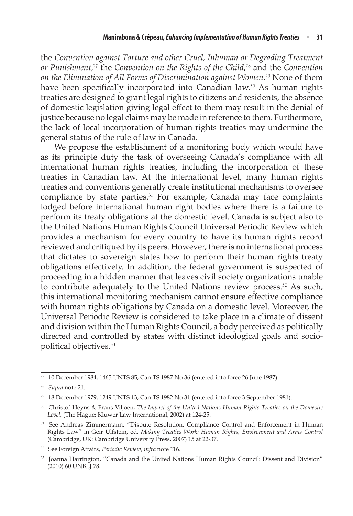the *Convention against Torture and other Cruel, Inhuman or Degrading Treatment or Punishment*, <sup>27</sup> the *Convention on the Rights of the Child*, <sup>28</sup> and the *Convention on the Elimination of All Forms of Discrimination against Women*. <sup>29</sup> None of them have been specifically incorporated into Canadian law.<sup>30</sup> As human rights treaties are designed to grant legal rights to citizens and residents, the absence of domestic legislation giving legal effect to them may result in the denial of justice because no legal claims may be made in reference to them. Furthermore, the lack of local incorporation of human rights treaties may undermine the general status of the rule of law in Canada.

We propose the establishment of a monitoring body which would have as its principle duty the task of overseeing Canada's compliance with all international human rights treaties, including the incorporation of these treaties in Canadian law. At the international level, many human rights treaties and conventions generally create institutional mechanisms to oversee compliance by state parties.<sup>31</sup> For example, Canada may face complaints lodged before international human right bodies where there is a failure to perform its treaty obligations at the domestic level. Canada is subject also to the United Nations Human Rights Council Universal Periodic Review which provides a mechanism for every country to have its human rights record reviewed and critiqued by its peers. However, there is no international process that dictates to sovereign states how to perform their human rights treaty obligations effectively. In addition, the federal government is suspected of proceeding in a hidden manner that leaves civil society organizations unable to contribute adequately to the United Nations review process.<sup>32</sup> As such, this international monitoring mechanism cannot ensure effective compliance with human rights obligations by Canada on a domestic level. Moreover, the Universal Periodic Review is considered to take place in a climate of dissent and division within the Human Rights Council, a body perceived as politically directed and controlled by states with distinct ideological goals and sociopolitical objectives.<sup>33</sup>

 $27$  10 December 1984, 1465 UNTS 85, Can TS 1987 No 36 (entered into force 26 June 1987).

<sup>28</sup> *Supra* note 21.

<sup>29</sup> 18 December 1979, 1249 UNTS 13, Can TS 1982 No 31 (entered into force 3 September 1981).

<sup>30</sup> Christof Heyns & Frans Viljoen, *The Impact of the United Nations Human Rights Treaties on the Domestic Level*, (The Hague: Kluwer Law International, 2002) at 124-25.

<sup>&</sup>lt;sup>31</sup> See Andreas Zimmermann, "Dispute Resolution, Compliance Control and Enforcement in Human Rights Law" in Geir Ulfstein, ed, *Making Treaties Work: Human Rights, Environment and Arms Control* (Cambridge, UK: Cambridge University Press, 2007) 15 at 22-37.

<sup>32</sup> See Foreign Affairs, *Periodic Review*, *infra* note 116.

<sup>&</sup>lt;sup>33</sup> Joanna Harrington, "Canada and the United Nations Human Rights Council: Dissent and Division" (2010) 60 UNBLJ 78.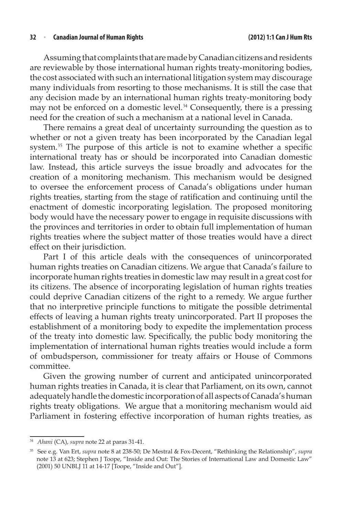#### **32**  <sup>n</sup> **Canadian Journal of Human Rights (2012) 1:1 Can J HumRts**

Assuming that complaints that are made by Canadian citizens and residents are reviewable by those international human rights treaty-monitoring bodies, the cost associated with such an international litigation system may discourage many individuals from resorting to those mechanisms. It is still the case that any decision made by an international human rights treaty-monitoring body may not be enforced on a domestic level.<sup>34</sup> Consequently, there is a pressing need for the creation of such a mechanism at a national level in Canada.

There remains a great deal of uncertainty surrounding the question as to whether or not a given treaty has been incorporated by the Canadian legal system.<sup>35</sup> The purpose of this article is not to examine whether a specific international treaty has or should be incorporated into Canadian domestic law. Instead, this article surveys the issue broadly and advocates for the creation of a monitoring mechanism. This mechanism would be designed to oversee the enforcement process of Canada's obligations under human rights treaties, starting from the stage of ratification and continuing until the enactment of domestic incorporating legislation. The proposed monitoring body would have the necessary power to engage in requisite discussions with the provinces and territories in order to obtain full implementation of human rights treaties where the subject matter of those treaties would have a direct effect on their jurisdiction.

Part I of this article deals with the consequences of unincorporated human rights treaties on Canadian citizens. We argue that Canada's failure to incorporate human rights treaties in domestic law may result in a great cost for its citizens. The absence of incorporating legislation of human rights treaties could deprive Canadian citizens of the right to a remedy. We argue further that no interpretive principle functions to mitigate the possible detrimental effects of leaving a human rights treaty unincorporated. Part II proposes the establishment of a monitoring body to expedite the implementation process of the treaty into domestic law. Specifically, the public body monitoring the implementation of international human rights treaties would include a form of ombudsperson, commissioner for treaty affairs or House of Commons committee.

Given the growing number of current and anticipated unincorporated human rights treaties in Canada, it is clear that Parliament, on its own, cannot adequately handle the domestic incorporation of all aspects of Canada's human rights treaty obligations. We argue that a monitoring mechanism would aid Parliament in fostering effective incorporation of human rights treaties, as

<sup>34</sup> *Ahani* (CA), *supra* note 22 at paras 31-41.

<sup>35</sup> See e.g. Van Ert, *supra* note 8 at 238-50; De Mestral & Fox-Decent, "Rethinking the Relationship", *supra* note 13 at 623; Stephen J Toope, "Inside and Out: The Stories of International Law and Domestic Law" (2001) 50 UNBLJ 11 at 14-17 [Toope, "Inside and Out"].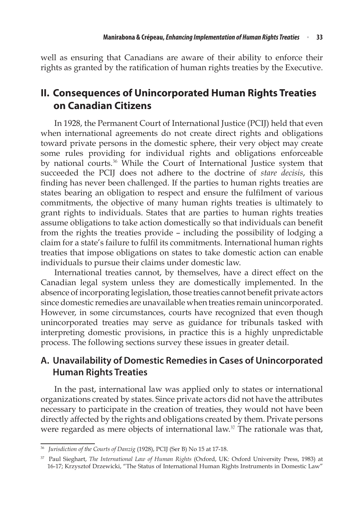well as ensuring that Canadians are aware of their ability to enforce their rights as granted by the ratification of human rights treaties by the Executive.

# **II. Consequences of Unincorporated Human Rights Treaties on Canadian Citizens**

In 1928, the Permanent Court of International Justice (PCIJ) held that even when international agreements do not create direct rights and obligations toward private persons in the domestic sphere, their very object may create some rules providing for individual rights and obligations enforceable by national courts.<sup>36</sup> While the Court of International Justice system that succeeded the PCIJ does not adhere to the doctrine of *stare decisis*, this finding has never been challenged. If the parties to human rights treaties are states bearing an obligation to respect and ensure the fulfilment of various commitments, the objective of many human rights treaties is ultimately to grant rights to individuals. States that are parties to human rights treaties assume obligations to take action domestically so that individuals can benefit from the rights the treaties provide – including the possibility of lodging a claim for a state's failure to fulfil its commitments. International human rights treaties that impose obligations on states to take domestic action can enable individuals to pursue their claims under domestic law.

International treaties cannot, by themselves, have a direct effect on the Canadian legal system unless they are domestically implemented. In the absence of incorporating legislation, those treaties cannot benefit private actors since domestic remedies are unavailable when treaties remain unincorporated. However, in some circumstances, courts have recognized that even though unincorporated treaties may serve as guidance for tribunals tasked with interpreting domestic provisions, in practice this is a highly unpredictable process. The following sections survey these issues in greater detail.

### **A. Unavailability of Domestic Remedies in Cases of Unincorporated Human Rights Treaties**

In the past, international law was applied only to states or international organizations created by states. Since private actors did not have the attributes necessary to participate in the creation of treaties, they would not have been directly affected by the rights and obligations created by them. Private persons were regarded as mere objects of international law. $37$  The rationale was that,

<sup>36</sup> *Jurisdiction of the Courts of Danzig* (1928), PCIJ (Ser B) No 15 at 17-18.

<sup>37</sup> Paul Sieghart, *The International Law of Human Rights* (Oxford, UK: Oxford University Press, 1983) at 16-17; Krzysztof Drzewicki, "The Status of International Human Rights Instruments in Domestic Law"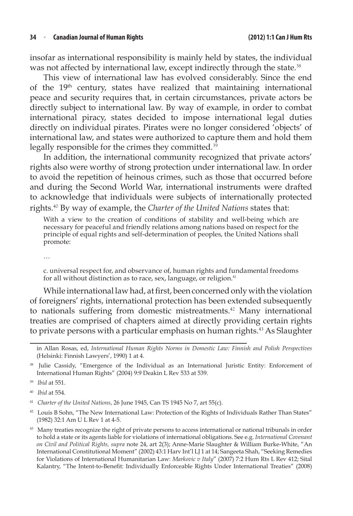insofar as international responsibility is mainly held by states, the individual was not affected by international law, except indirectly through the state.<sup>38</sup>

This view of international law has evolved considerably. Since the end of the 19<sup>th</sup> century, states have realized that maintaining international peace and security requires that, in certain circumstances, private actors be directly subject to international law. By way of example, in order to combat international piracy, states decided to impose international legal duties directly on individual pirates. Pirates were no longer considered 'objects' of international law, and states were authorized to capture them and hold them legally responsible for the crimes they committed.<sup>39</sup>

In addition, the international community recognized that private actors' rights also were worthy of strong protection under international law. In order to avoid the repetition of heinous crimes, such as those that occurred before and during the Second World War, international instruments were drafted to acknowledge that individuals were subjects of internationally protected rights.<sup>40</sup> By way of example, the *Charter of the United Nations* states that:

With a view to the creation of conditions of stability and well-being which are necessary for peaceful and friendly relations among nations based on respect for the principle of equal rights and self-determination of peoples, the United Nations shall promote:

…

c. universal respect for, and observance of, human rights and fundamental freedoms for all without distinction as to race, sex, language, or religion.<sup>41</sup>

While international law had, at first, been concerned only with the violation of foreigners' rights, international protection has been extended subsequently to nationals suffering from domestic mistreatments.<sup>42</sup> Many international treaties are comprised of chapters aimed at directly providing certain rights to private persons with a particular emphasis on human rights.<sup>43</sup> As Slaughter

in Allan Rosas, ed, *International Human Rights Norms in Domestic Law: Finnish and Polish Perspectives* (Helsinki: Finnish Lawyers', 1990) 1 at 4.

Julie Cassidy, "Emergence of the Individual as an International Juristic Entity: Enforcement of International Human Rights" (2004) 9:9 Deakin L Rev 533 at 539.

<sup>39</sup> *Ibid* at 551.

*Ibid* at 554.

<sup>41</sup> *Charter of the United Nations*, 26 June 1945, Can TS 1945 No 7, art 55(c).

<sup>42</sup> Louis B Sohn, "The New International Law: Protection of the Rights of Individuals Rather Than States" (1982) 32:1 Am U L Rev 1 at 4-5.

<sup>&</sup>lt;sup>43</sup> Many treaties recognize the right of private persons to access international or national tribunals in order to hold a state or its agents liable for violations of international obligations. See e.g. *International Covenant on Civil and Political Rights, supra* note 24, art 2(3); Anne-Marie Slaughter & William Burke-White, "An International Constitutional Moment" (2002) 43:1 Harv Int'l LJ 1 at 14; Sangeeta Shah, "Seeking Remedies for Violations of International Humanitarian Law: *Markovic v Italy*" (2007) 7:2 Hum Rts L Rev 412; Sital Kalantry, "The Intent-to-Benefit: Individually Enforceable Rights Under International Treaties" (2008)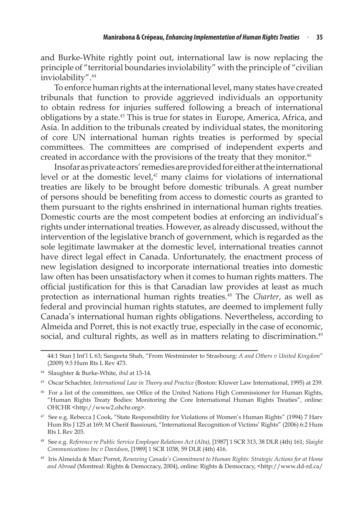and Burke-White rightly point out, international law is now replacing the principle of "territorial boundaries inviolability" with the principle of "civilian inviolability".<sup>44</sup>

To enforce human rights at the international level, many states have created tribunals that function to provide aggrieved individuals an opportunity to obtain redress for injuries suffered following a breach of international obligations by a state.<sup>45</sup> This is true for states in Europe, America, Africa, and Asia. In addition to the tribunals created by individual states, the monitoring of core UN international human rights treaties is performed by special committees. The committees are comprised of independent experts and created in accordance with the provisions of the treaty that they monitor.<sup>46</sup>

Insofarasprivateactors'remediesareprovidedforeitherattheinternational level or at the domestic level, $47$  many claims for violations of international treaties are likely to be brought before domestic tribunals. A great number of persons should be benefiting from access to domestic courts as granted to them pursuant to the rights enshrined in international human rights treaties. Domestic courts are the most competent bodies at enforcing an individual's rights under international treaties. However, as already discussed, without the intervention of the legislative branch of government, which is regarded as the sole legitimate lawmaker at the domestic level, international treaties cannot have direct legal effect in Canada. Unfortunately, the enactment process of new legislation designed to incorporate international treaties into domestic law often has been unsatisfactory when it comes to human rights matters. The official justification for this is that Canadian law provides at least as much protection as international human rights treaties.<sup>48</sup> The *Charter*, as well as federal and provincial human rights statutes, are deemed to implement fully Canada's international human rights obligations. Nevertheless, according to Almeida and Porret, this is not exactly true, especially in the case of economic, social, and cultural rights, as well as in matters relating to discrimination.<sup>49</sup>

<sup>49</sup> Iris Almeida & Marc Porret, *Renewing Canada's Commitment to Human Rights: Strategic Actions for at Home and Abroad* (Montreal: Rights & Democracy, 2004), online: Rights & Democracy, <http://www.dd-rd.ca/

<sup>44:1</sup> Stan J Int'l L 63; Sangeeta Shah, "From Westminster to Strasbourg: *A and Others v United Kingdom*" (2009) 9:3 Hum Rts L Rev 473.

<sup>44</sup> Slaughter & Burke-White, *ibid* at 13-14.

<sup>45</sup> Oscar Schachter, *International Law in Theory and Practice* (Boston: Kluwer Law International, 1995) at 239.

<sup>46</sup> For a list of the committees, see Office of the United Nations High Commissioner for Human Rights, "Human Rights Treaty Bodies: Monitoring the Core International Human Rights Treaties", online: OHCHR <http://www2.ohchr.org>.

<sup>47</sup> See e.g. Rebecca J Cook, "State Responsibility for Violations of Women's Human Rights" (1994) 7 Harv Hum Rts J 125 at 169; M Cherif Bassiouni, "International Recognition of Victims' Rights" (2006) 6:2 Hum Rts L Rev 203.

<sup>48</sup> See e.g. *Reference re Public Service Employee Relations Act (Alta),* [1987] 1 SCR 313, 38 DLR (4th) 161; *Slaight Communications Inc v Davidson*, [1989] 1 SCR 1038, 59 DLR (4th) 416.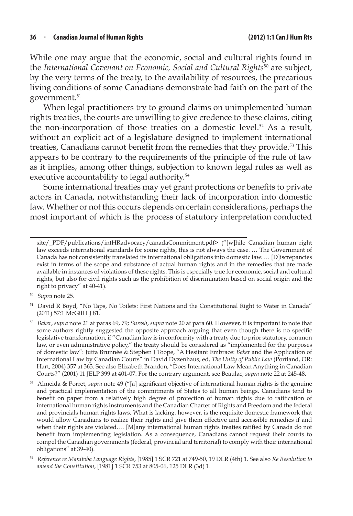#### **36**  <sup>n</sup> **Canadian Journal of Human Rights (2012) 1:1 Can J HumRts**

While one may argue that the economic, social and cultural rights found in the *International Covenant on Economic, Social and Cultural Rights<sup>50</sup> are subject,* by the very terms of the treaty, to the availability of resources, the precarious living conditions of some Canadians demonstrate bad faith on the part of the government.<sup>51</sup>

When legal practitioners try to ground claims on unimplemented human rights treaties, the courts are unwilling to give credence to these claims, citing the non-incorporation of those treaties on a domestic level.<sup>52</sup> As a result, without an explicit act of a legislature designed to implement international treaties, Canadians cannot benefit from the remedies that they provide.<sup>53</sup> This appears to be contrary to the requirements of the principle of the rule of law as it implies, among other things, subjection to known legal rules as well as executive accountability to legal authority.<sup>54</sup>

Some international treaties may yet grant protections or benefits to private actors in Canada, notwithstanding their lack of incorporation into domestic law. Whether or not this occurs depends on certain considerations, perhaps the most important of which is the process of statutory interpretation conducted

site/\_PDF/publications/intHRadvocacy/canadaCommitment.pdf> ("[w]hile Canadian human right law exceeds international standards for some rights, this is not always the case. … The Government of Canada has not consistently translated its international obligations into domestic law. … [D]iscrepancies exist in terms of the scope and substance of actual human rights and in the remedies that are made available in instances of violations of these rights. This is especially true for economic, social and cultural rights, but also for civil rights such as the prohibition of discrimination based on social origin and the right to privacy" at 40-41).

<sup>50</sup> *Supra* note 25.

<sup>51</sup> David R Boyd, "No Taps, No Toilets: First Nations and the Constitutional Right to Water in Canada" (2011) 57:1 McGill LJ 81.

<sup>52</sup> *Baker*, *supra* note 21 at paras 69, 79; *Suresh*, *supra* note 20 at para 60. However, it is important to note that some authors rightly suggested the opposite approach arguing that even though there is no specific legislative transformation, if "Canadian law is in conformity with a treaty due to prior statutory, common law, or even administrative policy," the treaty should be considered as "implemented for the purposes of domestic law": Jutta Brunnée & Stephen J Toope, "A Hesitant Embrace: *Baker* and the Application of International Law by Canadian Courts" in David Dyzenhaus, ed, *The Unity of Public Law* (Portland, OR: Hart, 2004) 357 at 363. See also Elizabeth Brandon, "Does International Law Mean Anything in Canadian Courts?" (2001) 11 JELP 399 at 401-07. For the contrary argument, see Beaulac, *supra* note 22 at 245-48.

<sup>53</sup> Almeida & Porret, *supra* note 49 ("[a] significant objective of international human rights is the genuine and practical implementation of the commitments of States to all human beings. Canadians tend to benefit on paper from a relatively high degree of protection of human rights due to ratification of international human rights instruments and the Canadian Charter of Rights and Freedom and the federal and provincials human rights laws. What is lacking, however, is the requisite domestic framework that would allow Canadians to realize their rights and give them effective and accessible remedies if and when their rights are violated.… [M]any international human rights treaties ratified by Canada do not benefit from implementing legislation. As a consequence, Canadians cannot request their courts to compel the Canadian governments (federal, provincial and territorial) to comply with their international obligations" at 39-40).

<sup>54</sup> *Reference re Manitoba Language Rights*, [1985] 1 SCR 721 at 749-50, 19 DLR (4th) 1. See also *Re Resolution to amend the Constitution*, [1981] 1 SCR 753 at 805-06, 125 DLR (3d) 1.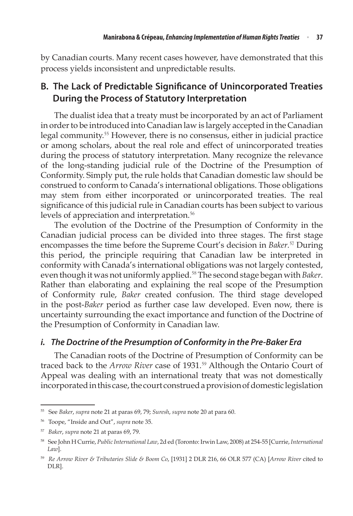by Canadian courts. Many recent cases however, have demonstrated that this process yields inconsistent and unpredictable results.

### **B. The Lack of Predictable Significance of Unincorporated Treaties During the Process of Statutory Interpretation**

The dualist idea that a treaty must be incorporated by an act of Parliament in order to be introduced into Canadian law is largely accepted in the Canadian legal community.<sup>55</sup> However, there is no consensus, either in judicial practice or among scholars, about the real role and effect of unincorporated treaties during the process of statutory interpretation. Many recognize the relevance of the long-standing judicial rule of the Doctrine of the Presumption of Conformity. Simply put, the rule holds that Canadian domestic law should be construed to conform to Canada's international obligations. Those obligations may stem from either incorporated or unincorporated treaties. The real significance of this judicial rule in Canadian courts has been subject to various levels of appreciation and interpretation.<sup>56</sup>

The evolution of the Doctrine of the Presumption of Conformity in the Canadian judicial process can be divided into three stages. The first stage encompasses the time before the Supreme Court's decision in *Baker.*<sup>57</sup> During this period, the principle requiring that Canadian law be interpreted in conformity with Canada's international obligations was not largely contested, even though it was not uniformly applied.<sup>58</sup> The second stage began with *Baker*. Rather than elaborating and explaining the real scope of the Presumption of Conformity rule, *Baker* created confusion. The third stage developed in the post-*Baker* period as further case law developed. Even now, there is uncertainty surrounding the exact importance and function of the Doctrine of the Presumption of Conformity in Canadian law.

### *i. The Doctrine of the Presumption of Conformity in the Pre-Baker Era*

The Canadian roots of the Doctrine of Presumption of Conformity can be traced back to the *Arrow River* case of 1931.<sup>59</sup> Although the Ontario Court of Appeal was dealing with an international treaty that was not domestically incorporated in this case, the court construed a provision of domestic legislation

<sup>55</sup> See *Baker*, *supra* note 21 at paras 69, 79; *Suresh*, *supra* note 20 at para 60.

<sup>56</sup> Toope, "Inside and Out", *supra* note 35.

<sup>57</sup> *Baker*, *supra* note 21 at paras 69, 79.

<sup>58</sup> See John H Currie, *Public International Law*, 2d ed (Toronto:Irwin Law, 2008) at 254-55 [Currie,*International Law*].

<sup>59</sup> *Re Arrow River & Tributaries Slide & Boom Co*, [1931] 2 DLR 216, 66 OLR 577 (CA) [*Arrow River* cited to DLR].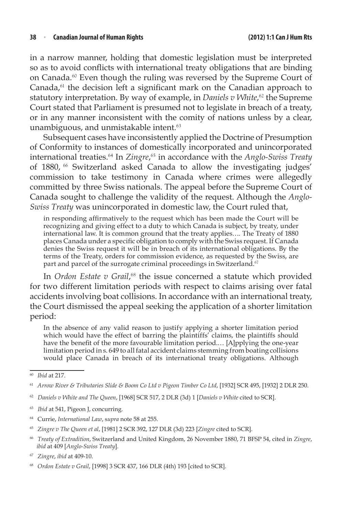in a narrow manner, holding that domestic legislation must be interpreted so as to avoid conflicts with international treaty obligations that are binding on Canada.<sup>60</sup> Even though the ruling was reversed by the Supreme Court of Canada,<sup>61</sup> the decision left a significant mark on the Canadian approach to statutory interpretation. By way of example, in *Daniels v White*,<sup>62</sup> the Supreme Court stated that Parliament is presumed not to legislate in breach of a treaty, or in any manner inconsistent with the comity of nations unless by a clear, unambiguous, and unmistakable intent.<sup>63</sup>

Subsequent cases have inconsistently applied the Doctrine of Presumption of Conformity to instances of domestically incorporated and unincorporated international treaties.<sup>64</sup> In *Zingre*, <sup>65</sup> in accordance with the *Anglo-Swiss Treaty* of 1880, <sup>66</sup> Switzerland asked Canada to allow the investigating judges' commission to take testimony in Canada where crimes were allegedly committed by three Swiss nationals. The appeal before the Supreme Court of Canada sought to challenge the validity of the request. Although the *Anglo-Swiss Treaty* was unincorporated in domestic law, the Court ruled that,

in responding affirmatively to the request which has been made the Court will be recognizing and giving effect to a duty to which Canada is subject, by treaty, under international law. It is common ground that the treaty applies…. The Treaty of 1880 places Canada under a specific obligation to comply with the Swiss request. If Canada denies the Swiss request it will be in breach of its international obligations. By the terms of the Treaty, orders for commission evidence, as requested by the Swiss, are part and parcel of the surrogate criminal proceedings in Switzerland.<sup>67</sup>

In *Ordon Estate v Grail*,<sup>68</sup> the issue concerned a statute which provided for two different limitation periods with respect to claims arising over fatal accidents involving boat collisions. In accordance with an international treaty, the Court dismissed the appeal seeking the application of a shorter limitation period:

In the absence of any valid reason to justify applying a shorter limitation period which would have the effect of barring the plaintiffs' claims, the plaintiffs should have the benefit of the more favourable limitation period.... [A]pplying the one-year limitation period in s. 649 to all fatal accident claims stemming from boating collisions would place Canada in breach of its international treaty obligations. Although

- <sup>62</sup> *Daniels v White and The Queen*, [1968] SCR 517, 2 DLR (3d) 1 [*Daniels v White* cited to SCR].
- <sup>63</sup> *Ibid* at 541, Pigeon J, concurring.
- <sup>64</sup> Currie, *International Law*, s*upra* note 58 at 255.
- <sup>65</sup> *Zingre v The Queen et al*, [1981] 2 SCR 392, 127 DLR (3d) 223 [*Zingre* cited to SCR].
- <sup>66</sup> *Treaty of Extradition*, Switzerland and United Kingdom, 26 November 1880, 71 BFSP 54, cited in *Zingre*, *ibid* at 409 [*Anglo-Swiss Treaty*].

<sup>60</sup> *Ibid* at 217.

<sup>61</sup> *Arrow River & Tributaries Slide & Boom Co Ltd v Pigeon Timber Co Ltd*, [1932] SCR 495, [1932] 2 DLR 250.

<sup>67</sup> *Zingre*, *ibid* at 409-10.

<sup>68</sup> *Ordon Estate v Grail*, [1998] 3 SCR 437, 166 DLR (4th) 193 [cited to SCR].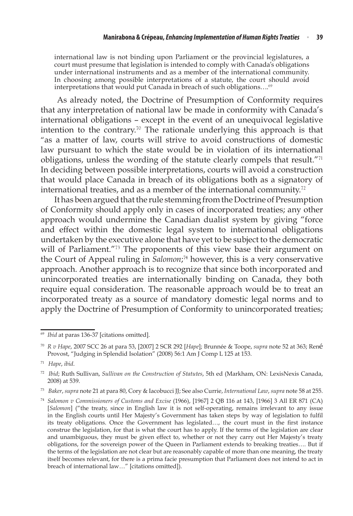international law is not binding upon Parliament or the provincial legislatures, a court must presume that legislation is intended to comply with Canada's obligations under international instruments and as a member of the international community. In choosing among possible interpretations of a statute, the court should avoid interpretations that would put Canada in breach of such obligations....<sup>69</sup>

As already noted, the Doctrine of Presumption of Conformity requires that any interpretation of national law be made in conformity with Canada's international obligations – except in the event of an unequivocal legislative intention to the contrary.<sup>70</sup> The rationale underlying this approach is that "as a matter of law, courts will strive to avoid constructions of domestic law pursuant to which the state would be in violation of its international obligations, unless the wording of the statute clearly compels that result."<sup>71</sup> In deciding between possible interpretations, courts will avoid a construction that would place Canada in breach of its obligations both as a signatory of international treaties, and as a member of the international community.<sup>72</sup>

It has been argued that the rule stemming from the Doctrine of Presumption of Conformity should apply only in cases of incorporated treaties; any other approach would undermine the Canadian dualist system by giving "force and effect within the domestic legal system to international obligations undertaken by the executive alone that have yet to be subject to the democratic will of Parliament."<sup>73</sup> The proponents of this view base their argument on the Court of Appeal ruling in *Salomon*; <sup>74</sup> however, this is a very conservative approach. Another approach is to recognize that since both incorporated and unincorporated treaties are internationally binding on Canada, they both require equal consideration. The reasonable approach would be to treat an incorporated treaty as a source of mandatory domestic legal norms and to apply the Doctrine of Presumption of Conformity to unincorporated treaties;

<sup>69</sup> *Ibid* at paras 136-37 [citations omitted].

<sup>70</sup> *R v Hape*, 2007 SCC 26 at para 53, [2007] 2 SCR 292 [*Hape*]; Brunnée & Toope, *supra* note 52 at 363; René Provost, "Judging in Splendid Isolation" (2008) 56:1 Am J Comp L 125 at 153.

<sup>71</sup> *Hape*, *ibid*.

<sup>72</sup> *Ibid*; Ruth Sullivan, *Sullivan on the Construction of Statutes*, 5th ed (Markham, ON: LexisNexis Canada, 2008) at 539.

<sup>73</sup> *Baker*, *supra* note 21 at para 80, Cory & Iacobucci JJ; See also Currie, *International Law*, *supra* note 58 at 255.

<sup>74</sup> *Salomon v Commissioners of Customs and Excise* (1966), [1967] 2 QB 116 at 143, [1966] 3 All ER 871 (CA) [*Salomon*] ("the treaty, since in English law it is not self-operating, remains irrelevant to any issue in the English courts until Her Majesty's Government has taken steps by way of legislation to fulfil its treaty obligations. Once the Government has legislated…, the court must in the first instance construe the legislation, for that is what the court has to apply. If the terms of the legislation are clear and unambiguous, they must be given effect to, whether or not they carry out Her Majesty's treaty obligations, for the sovereign power of the Queen in Parliament extends to breaking treaties…. But if the terms of the legislation are not clear but are reasonably capable of more than one meaning, the treaty itself becomes relevant, for there is a prima facie presumption that Parliament does not intend to act in breach of international law…" [citations omitted]).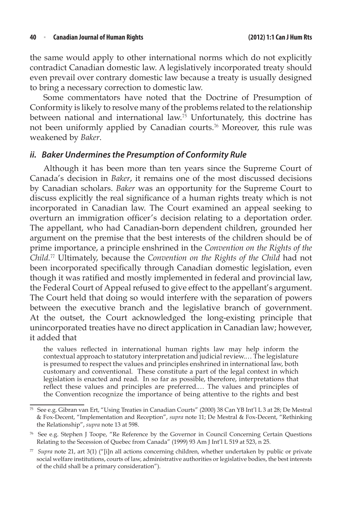the same would apply to other international norms which do not explicitly contradict Canadian domestic law. A legislatively incorporated treaty should even prevail over contrary domestic law because a treaty is usually designed to bring a necessary correction to domestic law.

Some commentators have noted that the Doctrine of Presumption of Conformity is likely to resolve many of the problems related to the relationship between national and international law.<sup>75</sup> Unfortunately, this doctrine has not been uniformly applied by Canadian courts.<sup>76</sup> Moreover, this rule was weakened by *Baker*. 

### *ii. Baker Underminesthe Presumption of Conformity Rule*

Although it has been more than ten years since the Supreme Court of Canada's decision in *Baker*, it remains one of the most discussed decisions by Canadian scholars. *Baker* was an opportunity for the Supreme Court to discuss explicitly the real significance of a human rights treaty which is not incorporated in Canadian law. The Court examined an appeal seeking to overturn an immigration officer's decision relating to a deportation order. The appellant, who had Canadian-born dependent children, grounded her argument on the premise that the best interests of the children should be of prime importance, a principle enshrined in the *Convention on the Rights of the Child.*<sup>77</sup> Ultimately, because the *Convention on the Rights of the Child* had not been incorporated specifically through Canadian domestic legislation, even though it was ratified and mostly implemented in federal and provincial law, the Federal Court of Appeal refused to give effect to the appellant's argument. The Court held that doing so would interfere with the separation of powers between the executive branch and the legislative branch of government. At the outset, the Court acknowledged the long-existing principle that unincorporated treaties have no direct application in Canadian law; however, it added that

the values reflected in international human rights law may help inform the contextual approach to statutory interpretation and judicial review.… The legislature is presumed to respect the values and principles enshrined in international law, both customary and conventional. These constitute a part of the legal context in which legislation is enacted and read. In so far as possible, therefore, interpretations that reflect these values and principles are preferred.… The values and principles of the Convention recognize the importance of being attentive to the rights and best

<sup>75</sup> See e.g. Gibran van Ert, "Using Treaties in Canadian Courts" (2000) 38 Can YB Int'l L 3 at 28; De Mestral & Fox-Decent, "Implementation and Reception", *supra* note 11; De Mestral & Fox-Decent, "Rethinking the Relationship", *supra* note 13 at 598.

<sup>76</sup> See e.g. Stephen J Toope, "Re Reference by the Governor in Council Concerning Certain Questions Relating to the Secession of Quebec from Canada" (1999) 93 Am J Int'l L 519 at 523, n 25.

<sup>77</sup> *Supra* note 21, art 3(1) ("[i]n all actions concerning children, whether undertaken by public or private social welfare institutions, courts of law, administrative authorities or legislative bodies, the best interests of the child shall be a primary consideration").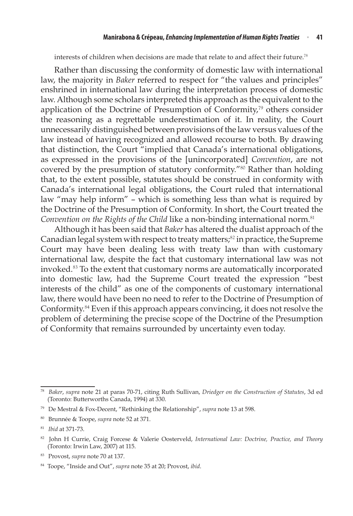#### **Manirabona & Crépeau,***Enhancing Implementation of Human Rights Treaties* <sup>n</sup> **41**

interests of children when decisions are made that relate to and affect their future.<sup>78</sup>

Rather than discussing the conformity of domestic law with international law, the majority in *Baker* referred to respect for "the values and principles" enshrined in international law during the interpretation process of domestic law. Although some scholars interpreted this approach as the equivalent to the application of the Doctrine of Presumption of Conformity,<sup>79</sup> others consider the reasoning as a regrettable underestimation of it. In reality, the Court unnecessarily distinguished between provisions of the law versus values of the law instead of having recognized and allowed recourse to both. By drawing that distinction, the Court "implied that Canada's international obligations, as expressed in the provisions of the [unincorporated] *Convention*, are not covered by the presumption of statutory conformity."<sup>80</sup> Rather than holding that, to the extent possible, statutes should be construed in conformity with Canada's international legal obligations, the Court ruled that international law "may help inform" – which is something less than what is required by the Doctrine of the Presumption of Conformity. In short, the Court treated the *Convention on the Rights of the Child* like a non-binding international norm.<sup>81</sup>

Although it has been said that *Baker* has altered the dualist approach of the Canadian legal system with respect to treaty matters;<sup>82</sup> in practice, the Supreme Court may have been dealing less with treaty law than with customary international law, despite the fact that customary international law was not invoked.<sup>83</sup> To the extent that customary norms are automatically incorporated into domestic law, had the Supreme Court treated the expression "best interests of the child" as one of the components of customary international law, there would have been no need to refer to the Doctrine of Presumption of Conformity.<sup>84</sup> Even if this approach appears convincing, it does not resolve the problem of determining the precise scope of the Doctrine of the Presumption of Conformity that remains surrounded by uncertainty even today.

<sup>78</sup> *Baker*, *supra* note 21 at paras 70-71, citing Ruth Sullivan, *Driedger on the Construction of Statutes*, 3d ed (Toronto: Butterworths Canada, 1994) at 330.

<sup>79</sup> De Mestral & Fox-Decent, "Rethinking the Relationship", *supra* note 13 at 598.

<sup>80</sup> Brunnée & Toope, *supra* note 52 at 371.

<sup>81</sup> *Ibid* at 371-73.

<sup>82</sup> John H Currie, Craig Forcese & Valerie Oosterveld, *International Law: Doctrine, Practice, and Theory* (Toronto: Irwin Law, 2007) at 115.

<sup>83</sup> Provost, *supra* note 70 at 137.

<sup>84</sup> Toope, "Inside and Out", *supra* note 35 at 20; Provost, *ibid*.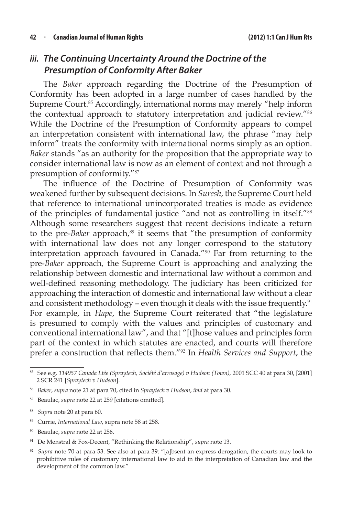### *iii. The Continuing Uncertainty Around the Doctrine of the Presumption of Conformity After Baker*

The *Baker* approach regarding the Doctrine of the Presumption of Conformity has been adopted in a large number of cases handled by the Supreme Court.<sup>85</sup> Accordingly, international norms may merely "help inform the contextual approach to statutory interpretation and judicial review."<sup>86</sup> While the Doctrine of the Presumption of Conformity appears to compel an interpretation consistent with international law, the phrase "may help inform" treats the conformity with international norms simply as an option. *Baker* stands "as an authority for the proposition that the appropriate way to consider international law is now as an element of context and not through a presumption of conformity."<sup>87</sup>

The influence of the Doctrine of Presumption of Conformity was weakened further by subsequent decisions. In *Suresh*, the Supreme Court held that reference to international unincorporated treaties is made as evidence of the principles of fundamental justice "and not as controlling in itself."<sup>88</sup> Although some researchers suggest that recent decisions indicate a return to the pre-*Baker* approach,<sup>89</sup> it seems that "the presumption of conformity with international law does not any longer correspond to the statutory interpretation approach favoured in Canada."<sup>90</sup> Far from returning to the pre-*Baker* approach, the Supreme Court is approaching and analyzing the relationship between domestic and international law without a common and well-defined reasoning methodology. The judiciary has been criticized for approaching the interaction of domestic and international law without a clear and consistent methodology - even though it deals with the issue frequently.<sup>91</sup> For example, in *Hape*, the Supreme Court reiterated that "the legislature is presumed to comply with the values and principles of customary and conventional international law", and that "[t]hose values and principles form part of the context in which statutes are enacted, and courts will therefore prefer a construction that reflects them."<sup>92</sup> In *Health Services and Support*, the

- <sup>87</sup> Beaulac, *supra* note 22 at 259 [citations omitted].
- <sup>88</sup> *Supra* note 20 at para 60.
- <sup>89</sup> Currie, *International Law*, supra note 58 at 258.
- <sup>90</sup> Beaulac, *supra* note 22 at 256.
- <sup>91</sup> De Menstral & Fox-Decent, "Rethinking the Relationship", *supra* note 13.

<sup>85</sup> See e.g. *114957 Canada Ltée (Spraytech, Société d'arrosage) v Hudson (Town),* 2001 SCC 40 at para 30, [2001] 2 SCR 241 [*Spraytech v Hudson*].

<sup>86</sup> *Baker*, *supra* note 21 at para 70, cited in *Spraytech v Hudson*, *ibid* at para 30.

<sup>92</sup> *Supra* note 70 at para 53. See also at para 39: "[a]bsent an express derogation, the courts may look to prohibitive rules of customary international law to aid in the interpretation of Canadian law and the development of the common law."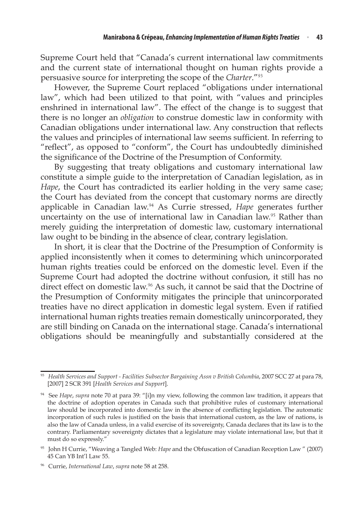Supreme Court held that "Canada's current international law commitments and the current state of international thought on human rights provide a persuasive source for interpreting the scope of the *Charter*."<sup>93</sup>

However, the Supreme Court replaced "obligations under international law", which had been utilized to that point, with "values and principles enshrined in international law". The effect of the change is to suggest that there is no longer an *obligation* to construe domestic law in conformity with Canadian obligations under international law. Any construction that reflects the values and principles of international law seems sufficient. In referring to "reflect", as opposed to "conform", the Court has undoubtedly diminished the significance of the Doctrine of the Presumption of Conformity.

By suggesting that treaty obligations and customary international law constitute a simple guide to the interpretation of Canadian legislation, as in *Hape*, the Court has contradicted its earlier holding in the very same case; the Court has deviated from the concept that customary norms are directly applicable in Canadian law.<sup>94</sup> As Currie stressed, *Hape* generates further uncertainty on the use of international law in Canadian law.<sup>95</sup> Rather than merely guiding the interpretation of domestic law, customary international law ought to be binding in the absence of clear, contrary legislation.

In short, it is clear that the Doctrine of the Presumption of Conformity is applied inconsistently when it comes to determining which unincorporated human rights treaties could be enforced on the domestic level. Even if the Supreme Court had adopted the doctrine without confusion, it still has no direct effect on domestic law.<sup>96</sup> As such, it cannot be said that the Doctrine of the Presumption of Conformity mitigates the principle that unincorporated treaties have no direct application in domestic legal system. Even if ratified international human rights treaties remain domestically unincorporated, they are still binding on Canada on the international stage. Canada's international obligations should be meaningfully and substantially considered at the

<sup>&</sup>lt;sup>93</sup> Health Services and Support - Facilities Subsector Bargaining Assn v British Columbia, 2007 SCC 27 at para 78, [2007] 2 SCR 391 [*Health Services and Support*].

<sup>94</sup> See *Hape*, *supra* note 70 at para 39: "[i]n my view, following the common law tradition, it appears that the doctrine of adoption operates in Canada such that prohibitive rules of customary international law should be incorporated into domestic law in the absence of conflicting legislation. The automatic incorporation of such rules is justified on the basis that international custom, as the law of nations, is also the law of Canada unless, in a valid exercise of its sovereignty, Canada declares that its law is to the contrary. Parliamentary sovereignty dictates that a legislature may violate international law, but that it must do so expressly."

<sup>95</sup> John H Currie, "Weaving a Tangled Web: *Hape* and the Obfuscation of Canadian Reception Law " (2007) 45 Can YB Int'l Law 55.

<sup>96</sup> Currie, *International Law*, *supra* note 58 at 258.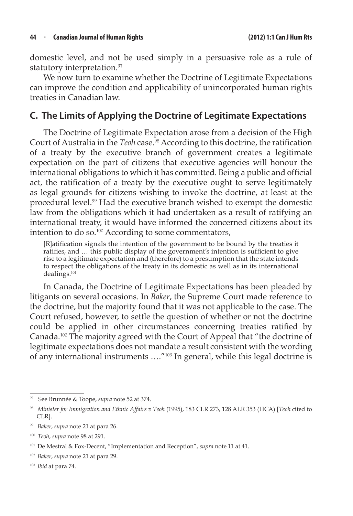domestic level, and not be used simply in a persuasive role as a rule of statutory interpretation.<sup>97</sup>

We now turn to examine whether the Doctrine of Legitimate Expectations can improve the condition and applicability of unincorporated human rights treaties in Canadian law.

### **C. The Limits of Applying the Doctrine of Legitimate Expectations**

The Doctrine of Legitimate Expectation arose from a decision of the High Court of Australia in the *Teoh* case.<sup>98</sup> According to this doctrine, the ratification of a treaty by the executive branch of government creates a legitimate expectation on the part of citizens that executive agencies will honour the international obligations to which it has committed. Being a public and official act, the ratification of a treaty by the executive ought to serve legitimately as legal grounds for citizens wishing to invoke the doctrine, at least at the procedural level.<sup>99</sup> Had the executive branch wished to exempt the domestic law from the obligations which it had undertaken as a result of ratifying an international treaty, it would have informed the concerned citizens about its intention to do so.<sup>100</sup> According to some commentators,

[R]atification signals the intention of the government to be bound by the treaties it ratifies, and … this public display of the government's intention is sufficient to give rise to a legitimate expectation and (therefore) to a presumption that the state intends to respect the obligations of the treaty in its domestic as well as in its international dealings.<sup>101</sup>

In Canada, the Doctrine of Legitimate Expectations has been pleaded by litigants on several occasions. In *Baker*, the Supreme Court made reference to the doctrine, but the majority found that it was not applicable to the case. The Court refused, however, to settle the question of whether or not the doctrine could be applied in other circumstances concerning treaties ratified by Canada.<sup>102</sup> The majority agreed with the Court of Appeal that "the doctrine of legitimate expectations does not mandate a result consistent with the wording of any international instruments …."<sup>103</sup> In general, while this legal doctrine is

<sup>97</sup> See Brunnée & Toope, *supra* note 52 at 374.

<sup>98</sup> *Minister for Immigration and Ethnic Affairs v Teoh* (1995), 183 CLR 273, 128 ALR 353 (HCA) [*Teoh* cited to CLR].

<sup>99</sup> *Baker*, *supra* note 21 at para 26.

<sup>100</sup> *Teoh*, *supra* note 98 at 291.

<sup>101</sup> De Mestral & Fox-Decent, "Implementation and Reception", *supra* note 11 at 41.

<sup>102</sup> *Baker*, *supra* note 21 at para 29.

<sup>103</sup> *Ibid* at para 74.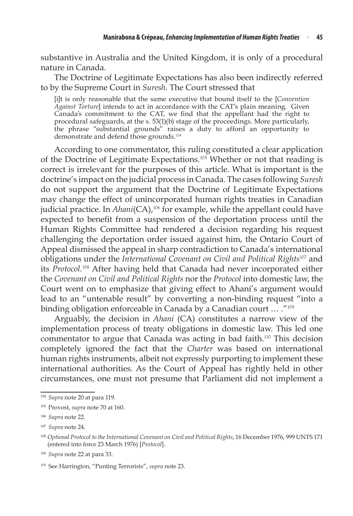substantive in Australia and the United Kingdom, it is only of a procedural nature in Canada.

The Doctrine of Legitimate Expectations has also been indirectly referred to by the Supreme Court in *Suresh.* The Court stressed that

[i]t is only reasonable that the same executive that bound itself to the [*Convention Against Torture*] intends to act in accordance with the CAT's plain meaning. Given Canada's commitment to the CAT, we find that the appellant had the right to procedural safeguards, at the s. 53(1)(b) stage of the proceedings. More particularly, the phrase "substantial grounds" raises a duty to afford an opportunity to demonstrate and defend those grounds.<sup>104</sup>

According to one commentator, this ruling constituted a clear application of the Doctrine of Legitimate Expectations.<sup>105</sup> Whether or not that reading is correct is irrelevant for the purposes of this article. What is important is the doctrine's impact on the judicial process in Canada. The cases following *Suresh* do not support the argument that the Doctrine of Legitimate Expectations may change the effect of unincorporated human rights treaties in Canadian judicial practice. In *Ahani*(CA),<sup>106</sup> for example, while the appellant could have expected to benefit from a suspension of the deportation process until the Human Rights Committee had rendered a decision regarding his request challenging the deportation order issued against him, the Ontario Court of Appeal dismissed the appeal in sharp contradiction to Canada's international obligations under the *International Covenant on Civil and Political Rights*<sup>107</sup> and its *Protocol.*<sup>108</sup> After having held that Canada had never incorporated either the *Covenant on Civil and Political Rights* nor the *Protocol* into domestic law, the Court went on to emphasize that giving effect to Ahani's argument would lead to an "untenable result" by converting a non-binding request "into a binding obligation enforceable in Canada by a Canadian court … ."<sup>109</sup>

Arguably, the decision in *Ahani* (CA) constitutes a narrow view of the implementation process of treaty obligations in domestic law. This led one commentator to argue that Canada was acting in bad faith.<sup>110</sup> This decision completely ignored the fact that the *Charter* was based on international human rights instruments, albeit not expressly purporting to implement these international authorities. As the Court of Appeal has rightly held in other circumstances, one must not presume that Parliament did not implement a

<sup>104</sup> *Supra* note 20 at para 119.

<sup>105</sup> Provost, *supra* note 70 at 160.

<sup>106</sup> *Supra* note 22.

<sup>107</sup> *Supra* note 24.

<sup>&</sup>lt;sup>108</sup> Optional Protocol to the International Covenant on Civil and Political Rights, 16 December 1976, 999 UNTS 171 (entered into force 23 March 1976) [*Protocol*].

<sup>109</sup> *Supra* note 22 at para 33.

<sup>110</sup> See Harrington, "Punting Terrorists", *supra* note 23.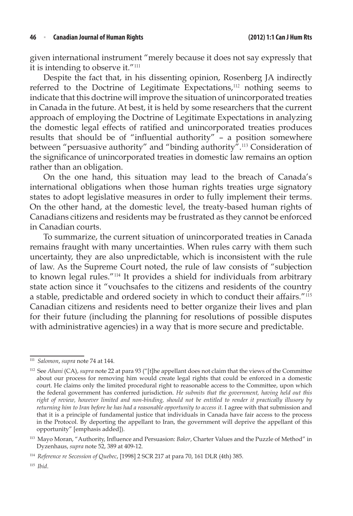given international instrument "merely because it does not say expressly that it is intending to observe it."<sup>111</sup>

Despite the fact that, in his dissenting opinion, Rosenberg JA indirectly referred to the Doctrine of Legitimate Expectations,<sup>112</sup> nothing seems to indicate that this doctrine will improve the situation of unincorporated treaties in Canada in the future. At best, it is held by some researchers that the current approach of employing the Doctrine of Legitimate Expectations in analyzing the domestic legal effects of ratified and unincorporated treaties produces results that should be of "influential authority" – a position somewhere between "persuasive authority" and "binding authority".<sup>113</sup> Consideration of the significance of unincorporated treaties in domestic law remains an option rather than an obligation.

On the one hand, this situation may lead to the breach of Canada's international obligations when those human rights treaties urge signatory states to adopt legislative measures in order to fully implement their terms. On the other hand, at the domestic level, the treaty-based human rights of Canadians citizens and residents may be frustrated as they cannot be enforced in Canadian courts.

To summarize, the current situation of unincorporated treaties in Canada remains fraught with many uncertainties. When rules carry with them such uncertainty, they are also unpredictable, which is inconsistent with the rule of law. As the Supreme Court noted, the rule of law consists of "subjection to known legal rules."<sup>114</sup> It provides a shield for individuals from arbitrary state action since it "vouchsafes to the citizens and residents of the country a stable, predictable and ordered society in which to conduct their affairs."<sup>115</sup> Canadian citizens and residents need to better organize their lives and plan for their future (including the planning for resolutions of possible disputes with administrative agencies) in a way that is more secure and predictable.

<sup>111</sup> *Salomon*, *supra* note 74 at 144.

<sup>112</sup> See *Ahani* (CA), *supra* note 22 at para 93 ("[t]he appellant does not claim that the views of the Committee about our process for removing him would create legal rights that could be enforced in a domestic court. He claims only the limited procedural right to reasonable access to the Committee, upon which the federal government has conferred jurisdiction. *He submits that the government, having held out this right of review, however limited and non-binding, should not be entitled to render it practically illusory by returning him to Iran before he has had a reasonable opportunity to access it.* I agree with that submission and that it is a principle of fundamental justice that individuals in Canada have fair access to the process in the Protocol. By deporting the appellant to Iran, the government will deprive the appellant of this opportunity" [emphasis added]).

<sup>113</sup> Mayo Moran, "Authority, Influence and Persuasion: *Baker*, Charter Values and the Puzzle of Method" in Dyzenhaus, *supra* note 52, 389 at 409-12.

<sup>114</sup> *Reference re Secession of Quebec*, [1998] 2 SCR 217 at para 70, 161 DLR (4th) 385.

<sup>115</sup> *Ibid*.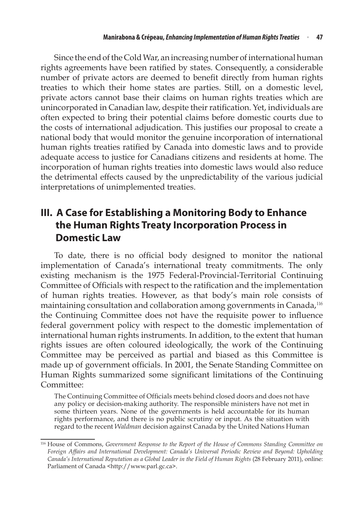Since the end of the Cold War, an increasing number of international human rights agreements have been ratified by states. Consequently, a considerable number of private actors are deemed to benefit directly from human rights treaties to which their home states are parties. Still, on a domestic level, private actors cannot base their claims on human rights treaties which are unincorporated in Canadian law, despite their ratification. Yet, individuals are often expected to bring their potential claims before domestic courts due to the costs of international adjudication. This justifies our proposal to create a national body that would monitor the genuine incorporation of international human rights treaties ratified by Canada into domestic laws and to provide adequate access to justice for Canadians citizens and residents at home. The incorporation of human rights treaties into domestic laws would also reduce the detrimental effects caused by the unpredictability of the various judicial interpretations of unimplemented treaties.

# **III. A Case for Establishing a Monitoring Body to Enhance the Human Rights Treaty Incorporation Process in Domestic Law**

To date, there is no official body designed to monitor the national implementation of Canada's international treaty commitments. The only existing mechanism is the 1975 Federal-Provincial-Territorial Continuing Committee of Officials with respect to the ratification and the implementation of human rights treaties. However, as that body's main role consists of maintaining consultation and collaboration among governments in Canada,<sup>116</sup> the Continuing Committee does not have the requisite power to influence federal government policy with respect to the domestic implementation of international human rights instruments. In addition, to the extent that human rights issues are often coloured ideologically, the work of the Continuing Committee may be perceived as partial and biased as this Committee is made up of government officials. In 2001, the Senate Standing Committee on Human Rights summarized some significant limitations of the Continuing Committee:

The Continuing Committee of Officials meets behind closed doors and does not have any policy or decision-making authority. The responsible ministers have not met in some thirteen years. None of the governments is held accountable for its human rights performance, and there is no public scrutiny or input. As the situation with regard to the recent *Waldman* decision against Canada by the United Nations Human

<sup>116</sup> House of Commons, *Government Response to the Report of the House of Commons Standing Committee on Foreign Affairs and International Development: Canada's Universal Periodic Review and Beyond: Upholding Canada's International Reputation as a Global Leader in the Field of Human Rights* (28 February 2011), online: Parliament of Canada <http://www.parl.gc.ca>.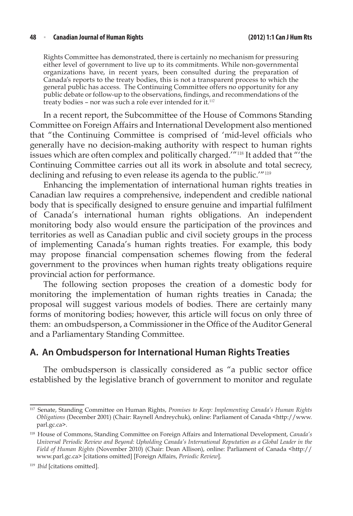Rights Committee has demonstrated, there is certainly no mechanism for pressuring either level of government to live up to its commitments. While non-governmental organizations have, in recent years, been consulted during the preparation of Canada's reports to the treaty bodies, this is not a transparent process to which the general public has access. The Continuing Committee offers no opportunity for any public debate or follow-up to the observations, findings, and recommendations of the treaty bodies – nor was such a role ever intended for it.<sup>117</sup>

In a recent report, the Subcommittee of the House of Commons Standing Committee on Foreign Affairs and International Development also mentioned that "the Continuing Committee is comprised of 'mid-level officials who generally have no decision-making authority with respect to human rights issues which are often complex and politically charged.'"<sup>118</sup> It added that "'the Continuing Committee carries out all its work in absolute and total secrecy, declining and refusing to even release its agenda to the public.'"<sup>119</sup>

Enhancing the implementation of international human rights treaties in Canadian law requires a comprehensive, independent and credible national body that is specifically designed to ensure genuine and impartial fulfilment of Canada's international human rights obligations. An independent monitoring body also would ensure the participation of the provinces and territories as well as Canadian public and civil society groups in the process of implementing Canada's human rights treaties. For example, this body may propose financial compensation schemes flowing from the federal government to the provinces when human rights treaty obligations require provincial action for performance.

The following section proposes the creation of a domestic body for monitoring the implementation of human rights treaties in Canada; the proposal will suggest various models of bodies. There are certainly many forms of monitoring bodies; however, this article will focus on only three of them: an ombudsperson, a Commissioner in the Office of the Auditor General and a Parliamentary Standing Committee.

### **A. An Ombudsperson for International Human Rights Treaties**

The ombudsperson is classically considered as "a public sector office established by the legislative branch of government to monitor and regulate

<sup>117</sup> Senate, Standing Committee on Human Rights, *Promises to Keep: Implementing Canada's Human Rights Obligations* (December 2001) (Chair: Raynell Andreychuk), online: Parliament of Canada <http://www. parl.gc.ca>.

<sup>118</sup> House of Commons, Standing Committee on Foreign Affairs and International Development, *Canada's Universal Periodic Review and Beyond: Upholding Canada's International Reputation as a Global Leader in the Field of Human Rights* (November 2010) (Chair: Dean Allison), online: Parliament of Canada <http:// www.parl.gc.ca> [citations omitted] [Foreign Affairs, *Periodic Review*].

<sup>119</sup> *Ibid* [citations omitted].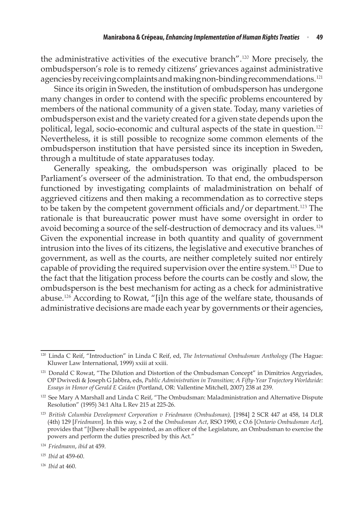the administrative activities of the executive branch".<sup>120</sup> More precisely, the ombudsperson's role is to remedy citizens' grievances against administrative agencies by receiving complaints and making non-binding recommendations.<sup>121</sup>

Since its origin in Sweden, the institution of ombudsperson has undergone many changes in order to contend with the specific problems encountered by members of the national community of a given state. Today, many varieties of ombudsperson exist and the variety created for a given state depends upon the political, legal, socio-economic and cultural aspects of the state in question.<sup>122</sup> Nevertheless, it is still possible to recognize some common elements of the ombudsperson institution that have persisted since its inception in Sweden, through a multitude of state apparatuses today.

Generally speaking, the ombudsperson was originally placed to be Parliament's overseer of the administration. To that end, the ombudsperson functioned by investigating complaints of maladministration on behalf of aggrieved citizens and then making a recommendation as to corrective steps to be taken by the competent government officials and/or department.<sup>123</sup> The rationale is that bureaucratic power must have some oversight in order to avoid becoming a source of the self-destruction of democracy and its values.<sup>124</sup> Given the exponential increase in both quantity and quality of government intrusion into the lives of its citizens, the legislative and executive branches of government, as well as the courts, are neither completely suited nor entirely capable of providing the required supervision over the entire system.<sup>125</sup> Due to the fact that the litigation process before the courts can be costly and slow, the ombudsperson is the best mechanism for acting as a check for administrative abuse.<sup>126</sup> According to Rowat, "[i]n this age of the welfare state, thousands of administrative decisions are made each year by governments or their agencies,

<sup>120</sup> Linda C Reif, "Introduction" in Linda C Reif, ed, *The International Ombudsman Anthology* (The Hague: Kluwer Law International, 1999) xxiii at xxiii.

<sup>&</sup>lt;sup>121</sup> Donald C Rowat, "The Dilution and Distortion of the Ombudsman Concept" in Dimitrios Argyriades, OP Dwivedi & Joseph G Jabbra, eds, *Public Administration in Transition; A Fifty-Year Trajectory Worldwide: Essays in Honor of Gerald E Caiden* (Portland, OR: Vallentine Mitchell, 2007) 238 at 239.

<sup>&</sup>lt;sup>122</sup> See Mary A Marshall and Linda C Reif, "The Ombudsman: Maladministration and Alternative Dispute Resolution" (1995) 34:1 Alta L Rev 215 at 225-26.

<sup>123</sup> *British Columbia Development Corporation v Friedmann (Ombudsman),* [1984] 2 SCR 447 at 458, 14 DLR (4th) 129 [*Friedmann*]. In this way, s 2 of the *Ombudsman Act*, RSO 1990, c O.6 [*Ontario Ombudsman Act*], provides that "[t]here shall be appointed, as an officer of the Legislature, an Ombudsman to exercise the powers and perform the duties prescribed by this Act."

<sup>124</sup> *Friedmann*, *ibid* at 459.

<sup>125</sup> *Ibid* at 459-60.

<sup>126</sup> *Ibid* at 460.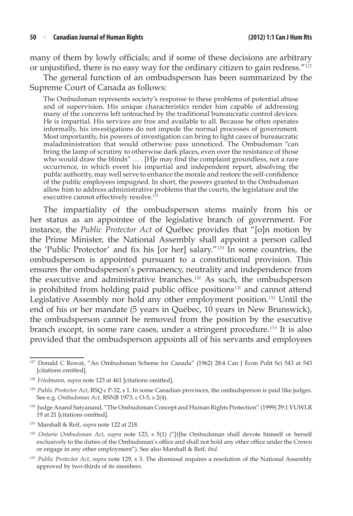#### **50**  <sup>n</sup> **Canadian Journal of Human Rights (2012) 1:1 Can J HumRts**

many of them by lowly officials; and if some of these decisions are arbitrary or unjustified, there is no easy way for the ordinary citizen to gain redress."<sup>127</sup>

The general function of an ombudsperson has been summarized by the Supreme Court of Canada as follows:

The Ombudsman represents society's response to these problems of potential abuse and of supervision. His unique characteristics render him capable of addressing many of the concerns left untouched by the traditional bureaucratic control devices. He is impartial. His services are free and available to all. Because he often operates informally, his investigations do not impede the normal processes of government. Most importantly, his powers of investigation can bring to light cases of bureaucratic maladministration that would otherwise pass unnoticed. The Ombudsman "can bring the lamp of scrutiny to otherwise dark places, even over the resistance of those who would draw the blinds"  $\dots$  [H]e may find the complaint groundless, not a rare occurrence, in which event his impartial and independent report, absolving the public authority, may well serve to enhance the morale and restore the self-confidence of the public employees impugned. In short, the powers granted to the Ombudsman allow him to address administrative problems that the courts, the legislature and the executive cannot effectively resolve.<sup>12</sup>

The impartiality of the ombudsperson stems mainly from his or her status as an appointee of the legislative branch of government. For instance, the *Public Protector Act* of Québec provides that "[o]n motion by the Prime Minister, the National Assembly shall appoint a person called the 'Public Protector' and fix his [or her] salary."<sup>129</sup> In some countries, the ombudsperson is appointed pursuant to a constitutional provision. This ensures the ombudsperson's permanency, neutrality and independence from the executive and administrative branches.<sup>130</sup> As such, the ombudsperson is prohibited from holding paid public office positions<sup>131</sup> and cannot attend Legislative Assembly nor hold any other employment position.<sup>132</sup> Until the end of his or her mandate (5 years in Québec, 10 years in New Brunswick), the ombudsperson cannot be removed from the position by the executive branch except, in some rare cases, under a stringent procedure.<sup>133</sup> It is also provided that the ombudsperson appoints all of his servants and employees

<sup>127</sup> Donald C Rowat, "An Ombudsman Scheme for Canada" (1962) 28:4 Can J Econ Polit Sci 543 at 543 [citations omitted].

<sup>128</sup> *Friedmann, supra* note 123 at 461 [citations omitted].

<sup>129</sup> *Public Protector Act*, RSQ c P-32, s 1. In some Canadian provinces, the ombudsperson is paid like judges. See e.g. *Ombudsman Act,* RSNB 1973, c O-5, s 2(4).

<sup>&</sup>lt;sup>130</sup> Judge Anand Satyanand, "The Ombudsman Concept and Human Rights Protection" (1999) 29:1 VUWLR 19 at 21 [citations omitted].

<sup>131</sup> Marshall & Reif, *supra* note 122 at 218.

<sup>&</sup>lt;sup>132</sup> *Ontario Ombudsman Act, supra* note 123, s 5(1) ("[t]he Ombudsman shall devote himself or herself exclusively to the duties of the Ombudsman's office and shall not hold any other office under the Crown or engage in any other employment"). See also Marshall & Reif, *ibid*.

<sup>133</sup> *Public Protector Act*, *supra* note 129, s 3. The dismissal requires a resolution of the National Assembly approved by two-thirds of its members.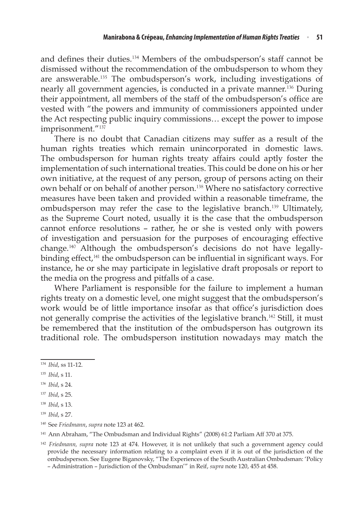and defines their duties.<sup>134</sup> Members of the ombudsperson's staff cannot be dismissed without the recommendation of the ombudsperson to whom they are answerable.<sup>135</sup> The ombudsperson's work, including investigations of nearly all government agencies, is conducted in a private manner.<sup>136</sup> During their appointment, all members of the staff of the ombudsperson's office are vested with "the powers and immunity of commissioners appointed under the Act respecting public inquiry commissions… except the power to impose imprisonment."<sup>137</sup>

There is no doubt that Canadian citizens may suffer as a result of the human rights treaties which remain unincorporated in domestic laws. The ombudsperson for human rights treaty affairs could aptly foster the implementation of such international treaties. This could be done on his or her own initiative, at the request of any person, group of persons acting on their own behalf or on behalf of another person.<sup>138</sup> Where no satisfactory corrective measures have been taken and provided within a reasonable timeframe, the ombudsperson may refer the case to the legislative branch.<sup>139</sup> Ultimately, as the Supreme Court noted, usually it is the case that the ombudsperson cannot enforce resolutions – rather, he or she is vested only with powers of investigation and persuasion for the purposes of encouraging effective change.<sup>140</sup> Although the ombudsperson's decisions do not have legallybinding effect,<sup>141</sup> the ombudsperson can be influential in significant ways. For instance, he or she may participate in legislative draft proposals or report to the media on the progress and pitfalls of a case.

Where Parliament is responsible for the failure to implement a human rights treaty on a domestic level, one might suggest that the ombudsperson's work would be of little importance insofar as that office's jurisdiction does not generally comprise the activities of the legislative branch.<sup>142</sup> Still, it must be remembered that the institution of the ombudsperson has outgrown its traditional role. The ombudsperson institution nowadays may match the

<sup>134</sup> *Ibid*, ss 11-12.

<sup>135</sup> *Ibid*, s 11.

<sup>136</sup> *Ibid*, s 24.

<sup>137</sup> *Ibid*, s 25.

<sup>138</sup> *Ibid*, s 13.

<sup>139</sup> *Ibid*, s 27.

<sup>140</sup> See *Friedmann*, *supra* note 123 at 462.

<sup>&</sup>lt;sup>141</sup> Ann Abraham, "The Ombudsman and Individual Rights" (2008) 61:2 Parliam Aff 370 at 375.

<sup>142</sup> *Friedmann, supra* note 123 at 474. However, it is not unlikely that such a government agency could provide the necessary information relating to a complaint even if it is out of the jurisdiction of the ombudsperson. See Eugene Biganovsky, "The Experiences of the South Australian Ombudsman: 'Policy – Administration – Jurisdiction of the Ombudsman'" in Reif, *supra* note 120, 455 at 458.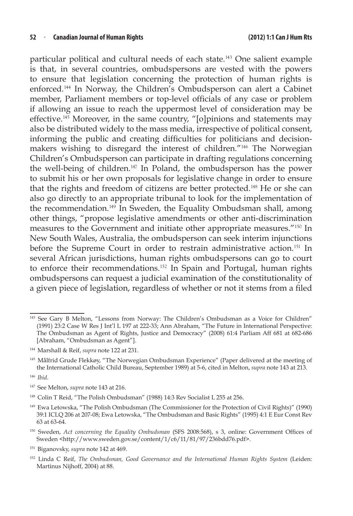particular political and cultural needs of each state.<sup>143</sup> One salient example is that, in several countries, ombudspersons are vested with the powers to ensure that legislation concerning the protection of human rights is enforced.<sup>144</sup> In Norway, the Children's Ombudsperson can alert a Cabinet member, Parliament members or top-level officials of any case or problem if allowing an issue to reach the uppermost level of consideration may be effective.<sup>145</sup> Moreover, in the same country, "[o]pinions and statements may also be distributed widely to the mass media, irrespective of political consent, informing the public and creating difficulties for politicians and decisionmakers wishing to disregard the interest of children."<sup>146</sup> The Norwegian Children's Ombudsperson can participate in drafting regulations concerning the well-being of children.<sup>147</sup> In Poland, the ombudsperson has the power to submit his or her own proposals for legislative change in order to ensure that the rights and freedom of citizens are better protected.<sup>148</sup> He or she can also go directly to an appropriate tribunal to look for the implementation of the recommendation.<sup>149</sup> In Sweden, the Equality Ombudsman shall, among other things, "propose legislative amendments or other anti-discrimination measures to the Government and initiate other appropriate measures."<sup>150</sup> In New South Wales, Australia, the ombudsperson can seek interim injunctions before the Supreme Court in order to restrain administrative action.<sup>151</sup> In several African jurisdictions, human rights ombudspersons can go to court to enforce their recommendations.<sup>152</sup> In Spain and Portugal, human rights ombudspersons can request a judicial examination of the constitutionality of a given piece of legislation, regardless of whether or not it stems from a filed

<sup>145</sup> Målfrid Grude Flekkøy, "The Norwegian Ombudsman Experience" (Paper delivered at the meeting of the International Catholic Child Bureau, September 1989) at 5-6, cited in Melton, *supra* note 143 at 213.

<sup>146</sup> *Ibid*.

- <sup>147</sup> See Melton, *supra* note 143 at 216.
- <sup>148</sup> Colin T Reid, "The Polish Ombudsman" (1988) 14:3 Rev Socialist L 255 at 256.
- <sup>149</sup> Ewa Letowska, "The Polish Ombudsman (The Commissioner for the Protection of Civil Rights)" (1990) 39:1 ICLQ 206 at 207-08; Ewa Letowska, "The Ombudsman and Basic Rights" (1995) 4:1 E Eur Const Rev 63 at 63-64.
- <sup>150</sup> Sweden, *Act concerning the Equality Ombudsman* (SFS 2008:568), s 3, online: Government Offices of Sweden <http://www.sweden.gov.se/content/1/c6/11/81/97/236bdd76.pdf>.
- <sup>151</sup> Biganovsky, *supra* note 142 at 469.
- <sup>152</sup> Linda C Reif, *The Ombudsman, Good Governance and the International Human Rights System* (Leiden: Martinus Nijhoff, 2004) at 88.

<sup>143</sup> See Gary B Melton, "Lessons from Norway: The Children's Ombudsman as a Voice for Children" (1991) 23:2 Case W Res J Int'l L 197 at 222-33; Ann Abraham, "The Future in International Perspective: The Ombudsman as Agent of Rights, Justice and Democracy" (2008) 61:4 Parliam Aff 681 at 682-686 [Abraham, "Ombudsman as Agent"].

<sup>144</sup> Marshall & Reif, *supra* note 122 at 231.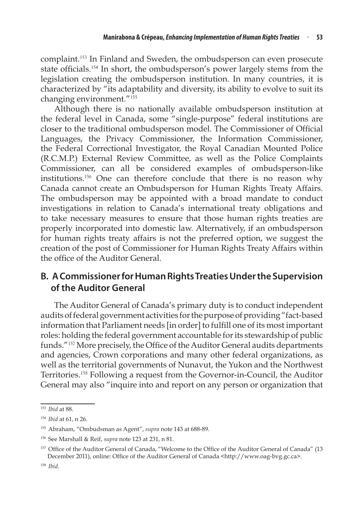complaint.<sup>153</sup> In Finland and Sweden, the ombudsperson can even prosecute state officials.<sup>154</sup> In short, the ombudsperson's power largely stems from the legislation creating the ombudsperson institution. In many countries, it is characterized by "its adaptability and diversity, its ability to evolve to suit its changing environment."<sup>155</sup>

Although there is no nationally available ombudsperson institution at the federal level in Canada, some "single-purpose" federal institutions are closer to the traditional ombudsperson model. The Commissioner of Official Languages, the Privacy Commissioner, the Information Commissioner, the Federal Correctional Investigator, the Royal Canadian Mounted Police (R.C.M.P.) External Review Committee, as well as the Police Complaints Commissioner, can all be considered examples of ombudsperson-like institutions.<sup>156</sup> One can therefore conclude that there is no reason why Canada cannot create an Ombudsperson for Human Rights Treaty Affairs. The ombudsperson may be appointed with a broad mandate to conduct investigations in relation to Canada's international treaty obligations and to take necessary measures to ensure that those human rights treaties are properly incorporated into domestic law. Alternatively, if an ombudsperson for human rights treaty affairs is not the preferred option, we suggest the creation of the post of Commissioner for Human Rights Treaty Affairs within the office of the Auditor General.

# **B. ACommissionerforHumanRightsTreatiesUnderthe Supervision of the Auditor General**

The Auditor General of Canada's primary duty is to conduct independent audits of federal government activities for the purpose of providing "fact-based information that Parliament needs [in order] to fulfill one of its most important roles: holding the federal government accountable forits stewardship of public funds."<sup>157</sup> More precisely, the Office of the Auditor General audits departments and agencies, Crown corporations and many other federal organizations, as well as the territorial governments of Nunavut, the Yukon and the Northwest Territories.<sup>158</sup> Following a request from the Governor-in-Council, the Auditor General may also "inquire into and report on any person or organization that

<sup>153</sup> *Ibid* at 88.

<sup>154</sup> *Ibid* at 61, n 26.

<sup>155</sup> Abraham, "Ombudsman as Agent", *supra* note 143 at 688-89.

<sup>156</sup> See Marshall & Reif, *supra* note 123 at 231, n 81.

<sup>&</sup>lt;sup>157</sup> Office of the Auditor General of Canada, "Welcome to the Office of the Auditor General of Canada" (13 December 2011), online: Office of the Auditor General of Canada <http://www.oag-bvg.gc.ca>.

<sup>158</sup> *Ibid*.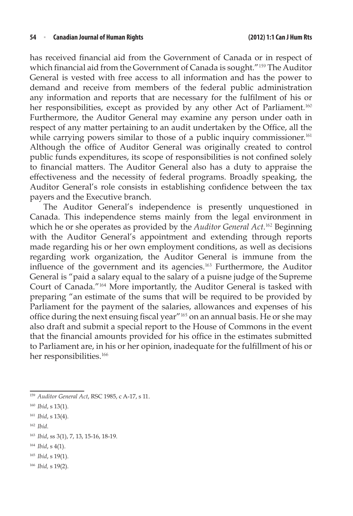has received financial aid from the Government of Canada or in respect of which financial aid from the Government of Canada is sought."<sup>159</sup> The Auditor General is vested with free access to all information and has the power to demand and receive from members of the federal public administration any information and reports that are necessary for the fulfilment of his or her responsibilities, except as provided by any other Act of Parliament.<sup>160</sup> Furthermore, the Auditor General may examine any person under oath in respect of any matter pertaining to an audit undertaken by the Office, all the while carrying powers similar to those of a public inquiry commissioner.<sup>161</sup> Although the office of Auditor General was originally created to control public funds expenditures, its scope of responsibilities is not confined solely to financial matters. The Auditor General also has a duty to appraise the effectiveness and the necessity of federal programs. Broadly speaking, the Auditor General's role consists in establishing confidence between the tax payers and the Executive branch.

The Auditor General's independence is presently unquestioned in Canada. This independence stems mainly from the legal environment in which he or she operates as provided by the *Auditor General Act*. <sup>162</sup> Beginning with the Auditor General's appointment and extending through reports made regarding his or her own employment conditions, as well as decisions regarding work organization, the Auditor General is immune from the influence of the government and its agencies.<sup>163</sup> Furthermore, the Auditor General is "paid a salary equal to the salary of a puisne judge of the Supreme Court of Canada."<sup>164</sup> More importantly, the Auditor General is tasked with preparing "an estimate of the sums that will be required to be provided by Parliament for the payment of the salaries, allowances and expenses of his office during the next ensuing fiscal year"<sup>165</sup> on an annual basis. He or she may also draft and submit a special report to the House of Commons in the event that the financial amounts provided for his office in the estimates submitted to Parliament are, in his or her opinion, inadequate for the fulfillment of his or her responsibilities.<sup>166</sup>

<sup>165</sup> *Ibid*, s 19(1).

<sup>159</sup> *Auditor General Act*, RSC 1985, c A-17, s 11.

<sup>160</sup> *Ibid*, s 13(1).

<sup>161</sup> *Ibid*, s 13(4). 

<sup>162</sup> *Ibid.* 

<sup>163</sup> *Ibid*, ss 3(1), 7, 13, 15-16, 18-19. 

<sup>164</sup> *Ibid*, s 4(1).

<sup>166</sup> *Ibid,* s 19(2).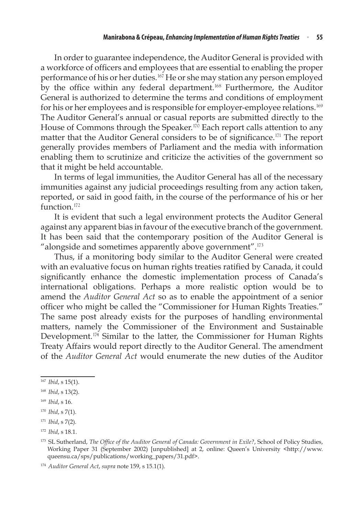In order to guarantee independence, the Auditor General is provided with a workforce of officers and employees that are essential to enabling the proper performance of his or her duties.<sup>167</sup> He or she may station any person employed by the office within any federal department.<sup>168</sup> Furthermore, the Auditor General is authorized to determine the terms and conditions of employment for his or her employees and is responsible for employer-employee relations.<sup>169</sup> The Auditor General's annual or casual reports are submitted directly to the House of Commons through the Speaker.<sup>170</sup> Each report calls attention to any matter that the Auditor General considers to be of significance.<sup>171</sup> The report generally provides members of Parliament and the media with information enabling them to scrutinize and criticize the activities of the government so that it might be held accountable.

In terms of legal immunities, the Auditor General has all of the necessary immunities against any judicial proceedings resulting from any action taken, reported, or said in good faith, in the course of the performance of his or her function.<sup>172</sup>

It is evident that such a legal environment protects the Auditor General against any apparent bias in favour of the executive branch of the government. It has been said that the contemporary position of the Auditor General is "alongside and sometimes apparently above government".<sup>173</sup>

Thus, if a monitoring body similar to the Auditor General were created with an evaluative focus on human rights treaties ratified by Canada, it could significantly enhance the domestic implementation process of Canada's international obligations. Perhaps a more realistic option would be to amend the *Auditor General Act* so as to enable the appointment of a senior officer who might be called the "Commissioner for Human Rights Treaties." The same post already exists for the purposes of handling environmental matters, namely the Commissioner of the Environment and Sustainable Development.<sup>174</sup> Similar to the latter, the Commissioner for Human Rights Treaty Affairs would report directly to the Auditor General. The amendment of the *Auditor General Act* would enumerate the new duties of the Auditor

<sup>167</sup> *Ibid*, s 15(1).

<sup>168</sup> *Ibid*, s 13(2).

<sup>169</sup> *Ibid*, s 16.

<sup>170</sup> *Ibid*, s 7(1).

<sup>171</sup> *Ibid*, s 7(2).

<sup>172</sup> *Ibid*, s 18.1.

<sup>173</sup> SL Sutherland, *The Office of the Auditor General of Canada: Government in Exile?*, School of Policy Studies, Working Paper 31 (September 2002) [unpublished] at 2, online: Queen's University <http://www. queensu.ca/sps/publications/working\_papers/31.pdf>.

<sup>174</sup> *Auditor General Act*, *supra* note 159, s 15.1(1).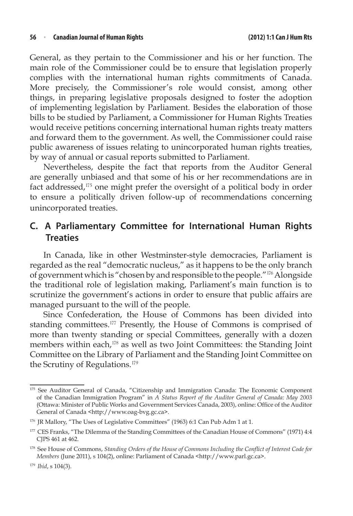General, as they pertain to the Commissioner and his or her function. The main role of the Commissioner could be to ensure that legislation properly complies with the international human rights commitments of Canada. More precisely, the Commissioner's role would consist, among other things, in preparing legislative proposals designed to foster the adoption of implementing legislation by Parliament. Besides the elaboration of those bills to be studied by Parliament, a Commissioner for Human Rights Treaties would receive petitions concerning international human rights treaty matters and forward them to the government. As well, the Commissioner could raise public awareness of issues relating to unincorporated human rights treaties, by way of annual or casual reports submitted to Parliament.

Nevertheless, despite the fact that reports from the Auditor General are generally unbiased and that some of his or her recommendations are in fact addressed,<sup>175</sup> one might prefer the oversight of a political body in order to ensure a politically driven follow-up of recommendations concerning unincorporated treaties.

# **C. A Parliamentary Committee for International Human Rights Treaties**

In Canada, like in other Westminster-style democracies, Parliament is regarded as the real "democratic nucleus," as it happens to be the only branch of government which is "chosen by and responsible to the people."<sup>176</sup> Alongside the traditional role of legislation making, Parliament's main function is to scrutinize the government's actions in order to ensure that public affairs are managed pursuant to the will of the people.

Since Confederation, the House of Commons has been divided into standing committees.<sup>177</sup> Presently, the House of Commons is comprised of more than twenty standing or special Committees, generally with a dozen members within each,<sup>178</sup> as well as two Joint Committees: the Standing Joint Committee on the Library of Parliament and the Standing Joint Committee on the Scrutiny of Regulations.<sup>179</sup>

<sup>175</sup> See Auditor General of Canada, "Citizenship and Immigration Canada: The Economic Component of the Canadian Immigration Program" in *A Status Report of the Auditor General of Canada: May 2003* (Ottawa: Minister of Public Works and Government Services Canada, 2003), online: Office of the Auditor General of Canada <http://www.oag-bvg.gc.ca>.

<sup>176</sup> JR Mallory, "The Uses of Legislative Committees" (1963) 6:1 Can Pub Adm 1 at 1.

<sup>&</sup>lt;sup>177</sup> CES Franks, "The Dilemma of the Standing Committees of the Canadian House of Commons" (1971) 4:4 CJPS 461 at 462.

<sup>178</sup> See House of Commons, *Standing Orders of the House of Commons Including the Conflict of Interest Code for Members* (June 2011), s 104(2), online: Parliament of Canada <http://www.parl.gc.ca>.

<sup>179</sup> *Ibid*, s 104(3).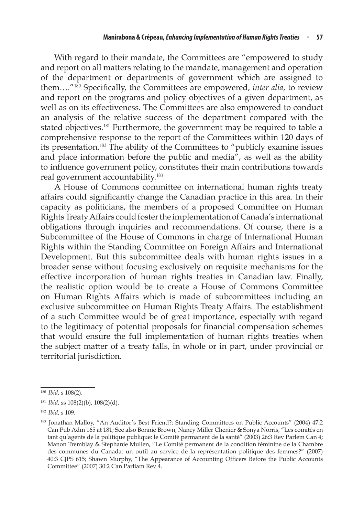With regard to their mandate, the Committees are "empowered to study and report on all matters relating to the mandate, management and operation of the department or departments of government which are assigned to them…."<sup>180</sup> Specifically, the Committees are empowered, *inter alia*, to review and report on the programs and policy objectives of a given department, as well as on its effectiveness. The Committees are also empowered to conduct an analysis of the relative success of the department compared with the stated objectives.<sup>181</sup> Furthermore, the government may be required to table a comprehensive response to the report of the Committees within 120 days of its presentation.<sup>182</sup> The ability of the Committees to "publicly examine issues and place information before the public and media", as well as the ability to influence government policy, constitutes their main contributions towards real government accountability.<sup>183</sup>

A House of Commons committee on international human rights treaty affairs could significantly change the Canadian practice in this area. In their capacity as politicians, the members of a proposed Committee on Human Rights Treaty Affairs could foster the implementation of Canada's international obligations through inquiries and recommendations. Of course, there is a Subcommittee of the House of Commons in charge of International Human Rights within the Standing Committee on Foreign Affairs and International Development. But this subcommittee deals with human rights issues in a broader sense without focusing exclusively on requisite mechanisms for the effective incorporation of human rights treaties in Canadian law. Finally, the realistic option would be to create a House of Commons Committee on Human Rights Affairs which is made of subcommittees including an exclusive subcommittee on Human Rights Treaty Affairs. The establishment of a such Committee would be of great importance, especially with regard to the legitimacy of potential proposals for financial compensation schemes that would ensure the full implementation of human rights treaties when the subject matter of a treaty falls, in whole or in part, under provincial or territorial jurisdiction. 

<sup>180</sup> *Ibid*, s 108(2).

<sup>181</sup> *Ibid*, ss 108(2)(b), 108(2)(d).

<sup>182</sup> *Ibid*, s 109.

<sup>183</sup> Jonathan Malloy, "An Auditor's Best Friend?: Standing Committees on Public Accounts" (2004) 47:2 Can Pub Adm 165 at 181; See also Bonnie Brown, Nancy Miller Chenier & Sonya Norris, "Les comités en tant qu'agents de la politique publique: le Comité permanent de la santé" (2003) 26:3 Rev Parlem Can 4; Manon Tremblay & Stephanie Mullen, "Le Comité permanent de la condition féminine de la Chambre des communes du Canada: un outil au service de la représentation politique des femmes?" (2007) 40:3 CJPS 615; Shawn Murphy, "The Appearance of Accounting Officers Before the Public Accounts Committee" (2007) 30:2 Can Parliam Rev 4.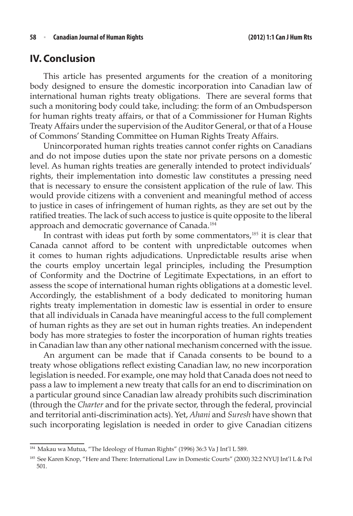### **IV. Conclusion**

This article has presented arguments for the creation of a monitoring body designed to ensure the domestic incorporation into Canadian law of international human rights treaty obligations. There are several forms that such a monitoring body could take, including: the form of an Ombudsperson for human rights treaty affairs, or that of a Commissioner for Human Rights Treaty Affairs under the supervision of the Auditor General, or that of a House of Commons' Standing Committee on Human Rights Treaty Affairs.

Unincorporated human rights treaties cannot confer rights on Canadians and do not impose duties upon the state nor private persons on a domestic level. As human rights treaties are generally intended to protect individuals' rights, their implementation into domestic law constitutes a pressing need that is necessary to ensure the consistent application of the rule of law. This would provide citizens with a convenient and meaningful method of access to justice in cases of infringement of human rights, as they are set out by the ratified treaties. The lack of such access to justice is quite opposite to the liberal approach and democratic governance of Canada.<sup>184</sup>

In contrast with ideas put forth by some commentators,<sup>185</sup> it is clear that Canada cannot afford to be content with unpredictable outcomes when it comes to human rights adjudications. Unpredictable results arise when the courts employ uncertain legal principles, including the Presumption of Conformity and the Doctrine of Legitimate Expectations, in an effort to assess the scope of international human rights obligations at a domestic level. Accordingly, the establishment of a body dedicated to monitoring human rights treaty implementation in domestic law is essential in order to ensure that all individuals in Canada have meaningful access to the full complement of human rights as they are set out in human rights treaties. An independent body has more strategies to foster the incorporation of human rights treaties in Canadian law than any other national mechanism concerned with the issue.

An argument can be made that if Canada consents to be bound to a treaty whose obligations reflect existing Canadian law, no new incorporation legislation is needed. For example, one may hold that Canada does not need to pass a law to implement a new treaty that calls for an end to discrimination on a particular ground since Canadian law already prohibits such discrimination (through the *Charter* and for the private sector, through the federal, provincial and territorial anti-discrimination acts). Yet, *Ahani* and *Suresh* have shown that such incorporating legislation is needed in order to give Canadian citizens

<sup>&</sup>lt;sup>184</sup> Makau wa Mutua, "The Ideology of Human Rights" (1996) 36:3 Va J Int'l L 589.

<sup>185</sup> See Karen Knop, "Here and There: International Law in Domestic Courts" (2000) 32:2 NYUJ Int'l L & Pol 501.